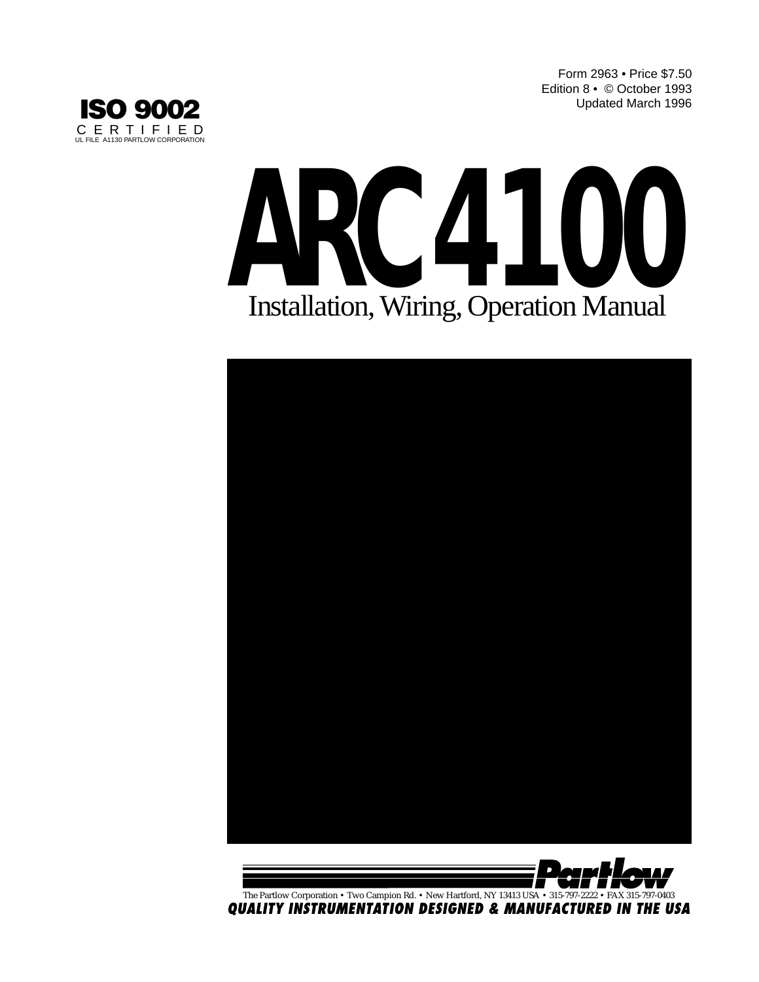Form 2963 • Price \$7.50 Edition 8 • © October 1993 Updated March 1996







The Partlow Corporation • Two Campion Rd. • New Hartford, NY 13413 USA • 315-797-2222 • FAX 315-797-0403<br>QUALITY INSTRUMENTATION DESIGNED & MANUFACTURED IN THE USA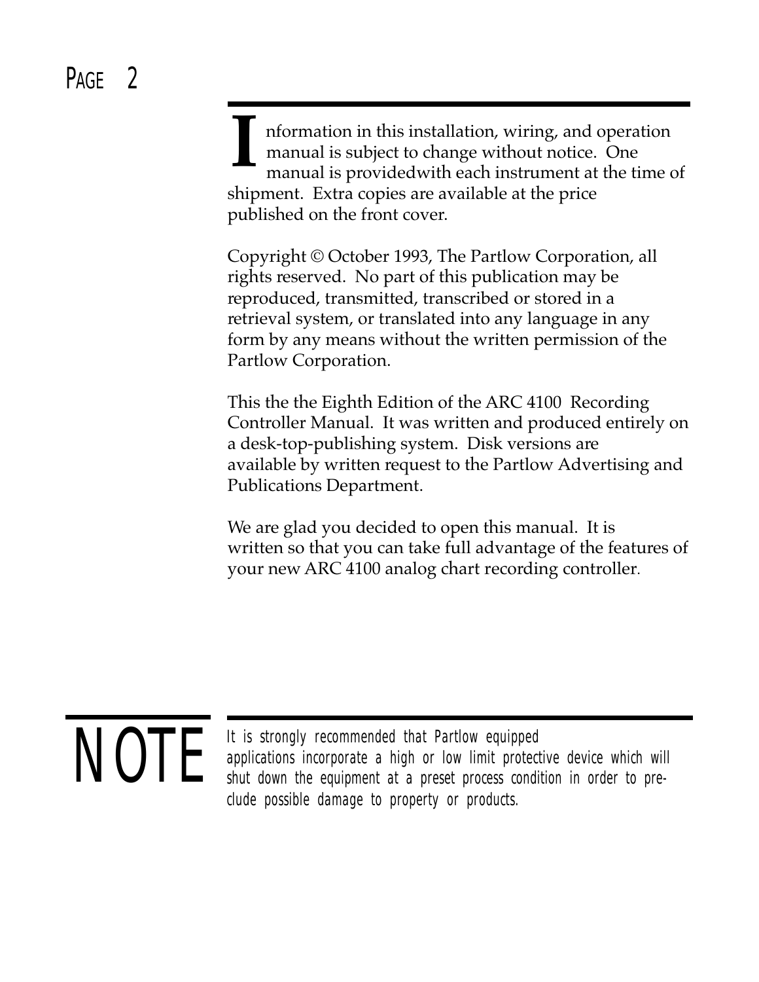# PAGE<sub>2</sub>

 nformation in this installation, wiring, and operation manual is subject to change without notice. One manual is providedwith each instrument at the time of shipment. Extra copies are available at the price published on the front cover. **I**

Copyright © October 1993, The Partlow Corporation, all rights reserved. No part of this publication may be reproduced, transmitted, transcribed or stored in a retrieval system, or translated into any language in any form by any means without the written permission of the Partlow Corporation.

This the the Eighth Edition of the ARC 4100 Recording Controller Manual. It was written and produced entirely on a desk-top-publishing system. Disk versions are available by written request to the Partlow Advertising and Publications Department.

We are glad you decided to open this manual. It is written so that you can take full advantage of the features of your new ARC 4100 analog chart recording controller.

# NOTE

It is strongly recommended that Partlow equipped applications incorporate a high or low limit protective device which will shut down the equipment at a preset process condition in order to preclude possible damage to property or products.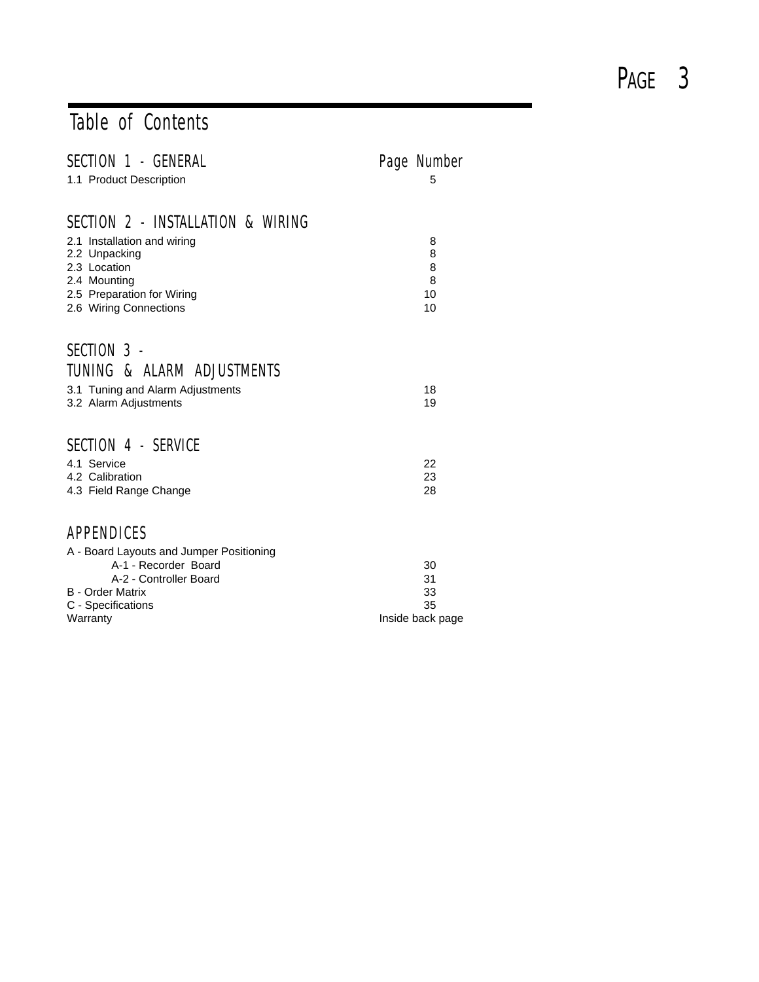### Table of Contents

| SECTION 1 - GENERAL<br>1.1 Product Description                                                                                                                            | Page Number<br>5                         |
|---------------------------------------------------------------------------------------------------------------------------------------------------------------------------|------------------------------------------|
| SECTION 2 - INSTALLATION & WIRING<br>2.1 Installation and wiring<br>2.2 Unpacking<br>2.3 Location<br>2.4 Mounting<br>2.5 Preparation for Wiring<br>2.6 Wiring Connections | 8<br>8<br>8<br>8<br>10<br>10             |
| SECTION 3 -<br>TUNING & ALARM ADJUSTMENTS<br>3.1 Tuning and Alarm Adjustments<br>3.2 Alarm Adjustments                                                                    | 18<br>19                                 |
| SECTION 4 - SERVICE<br>4.1 Service<br>4.2 Calibration<br>4.3 Field Range Change                                                                                           | 22<br>23<br>28                           |
| APPENDICES<br>A - Board Layouts and Jumper Positioning<br>A-1 - Recorder Board<br>A-2 - Controller Board<br><b>B</b> - Order Matrix<br>C - Specifications<br>Warranty     | 30<br>31<br>33<br>35<br>Inside back page |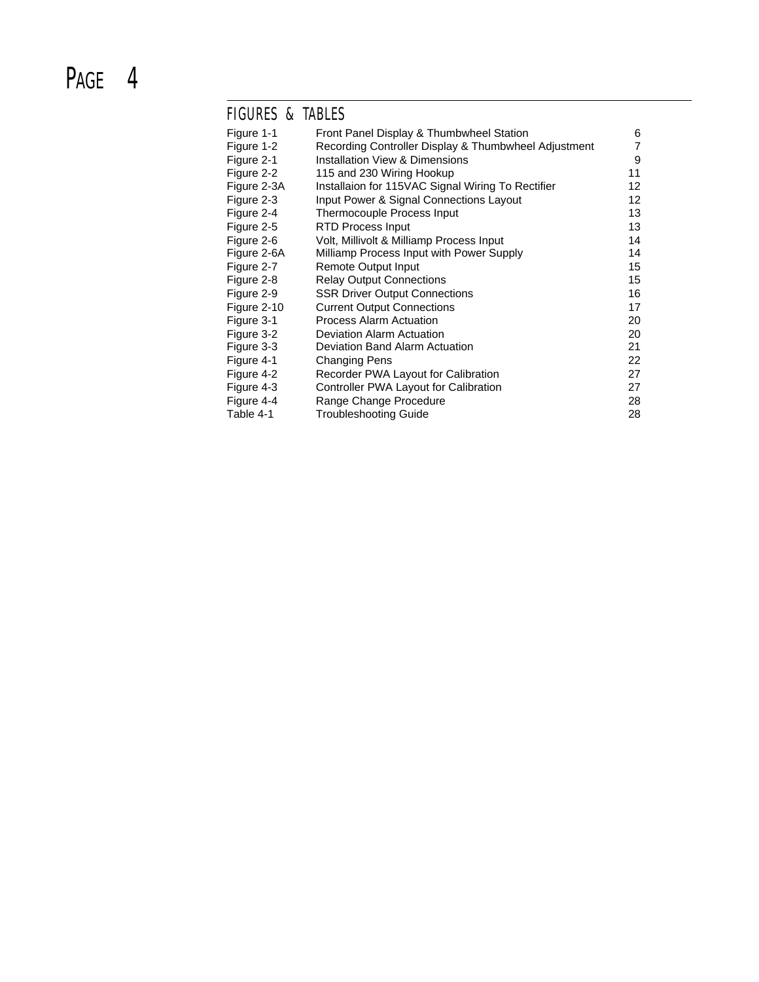### FIGURES & TABLES

| Figure 1-1  | Front Panel Display & Thumbwheel Station             | 6  |
|-------------|------------------------------------------------------|----|
| Figure 1-2  | Recording Controller Display & Thumbwheel Adjustment | 7  |
| Figure 2-1  | <b>Installation View &amp; Dimensions</b>            | 9  |
| Figure 2-2  | 115 and 230 Wiring Hookup                            | 11 |
| Figure 2-3A | Installaion for 115VAC Signal Wiring To Rectifier    | 12 |
| Figure 2-3  | Input Power & Signal Connections Layout              | 12 |
| Figure 2-4  | Thermocouple Process Input                           | 13 |
| Figure 2-5  | RTD Process Input                                    | 13 |
| Figure 2-6  | Volt, Millivolt & Milliamp Process Input             | 14 |
| Figure 2-6A | Milliamp Process Input with Power Supply             | 14 |
| Figure 2-7  | Remote Output Input                                  | 15 |
| Figure 2-8  | <b>Relay Output Connections</b>                      | 15 |
| Figure 2-9  | <b>SSR Driver Output Connections</b>                 | 16 |
| Figure 2-10 | <b>Current Output Connections</b>                    | 17 |
| Figure 3-1  | <b>Process Alarm Actuation</b>                       | 20 |
| Figure 3-2  | Deviation Alarm Actuation                            | 20 |
| Figure 3-3  | Deviation Band Alarm Actuation                       | 21 |
| Figure 4-1  | <b>Changing Pens</b>                                 | 22 |
| Figure 4-2  | Recorder PWA Layout for Calibration                  | 27 |
| Figure 4-3  | Controller PWA Layout for Calibration                | 27 |
| Figure 4-4  | Range Change Procedure                               | 28 |
| Table 4-1   | Troubleshooting Guide                                | 28 |
|             |                                                      |    |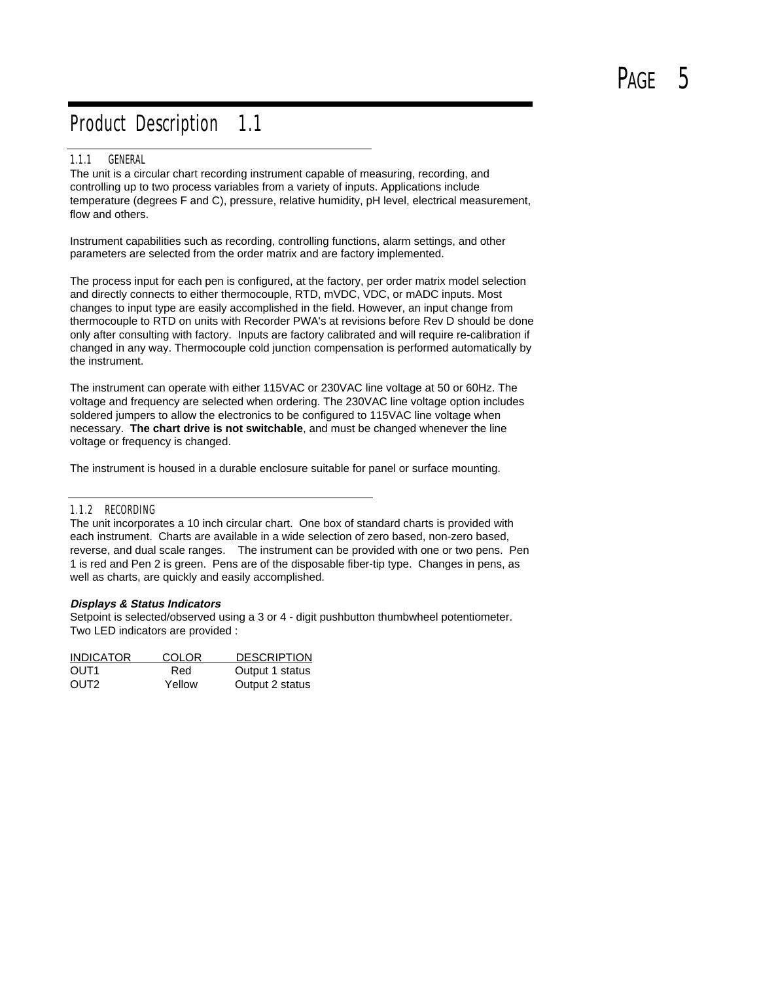### Product Description 1.1

#### 1.1.1 GENERAL

The unit is a circular chart recording instrument capable of measuring, recording, and controlling up to two process variables from a variety of inputs. Applications include temperature (degrees F and C), pressure, relative humidity, pH level, electrical measurement, flow and others.

Instrument capabilities such as recording, controlling functions, alarm settings, and other parameters are selected from the order matrix and are factory implemented.

The process input for each pen is configured, at the factory, per order matrix model selection and directly connects to either thermocouple, RTD, mVDC, VDC, or mADC inputs. Most changes to input type are easily accomplished in the field. However, an input change from thermocouple to RTD on units with Recorder PWA's at revisions before Rev D should be done only after consulting with factory. Inputs are factory calibrated and will require re-calibration if changed in any way. Thermocouple cold junction compensation is performed automatically by the instrument.

The instrument can operate with either 115VAC or 230VAC line voltage at 50 or 60Hz. The voltage and frequency are selected when ordering. The 230VAC line voltage option includes soldered jumpers to allow the electronics to be configured to 115VAC line voltage when necessary. **The chart drive is not switchable**, and must be changed whenever the line voltage or frequency is changed.

The instrument is housed in a durable enclosure suitable for panel or surface mounting.

#### 1.1.2 RECORDING

The unit incorporates a 10 inch circular chart. One box of standard charts is provided with each instrument. Charts are available in a wide selection of zero based, non-zero based, reverse, and dual scale ranges. The instrument can be provided with one or two pens. Pen 1 is red and Pen 2 is green. Pens are of the disposable fiber-tip type. Changes in pens, as well as charts, are quickly and easily accomplished.

#### **Displays & Status Indicators**

Setpoint is selected/observed using a 3 or 4 - digit pushbutton thumbwheel potentiometer. Two LED indicators are provided :

| <b>INDICATOR</b> | <b>COLOR</b> | <b>DESCRIPTION</b> |
|------------------|--------------|--------------------|
| OUT1             | Red          | Output 1 status    |
| OUT <sub>2</sub> | Yellow       | Output 2 status    |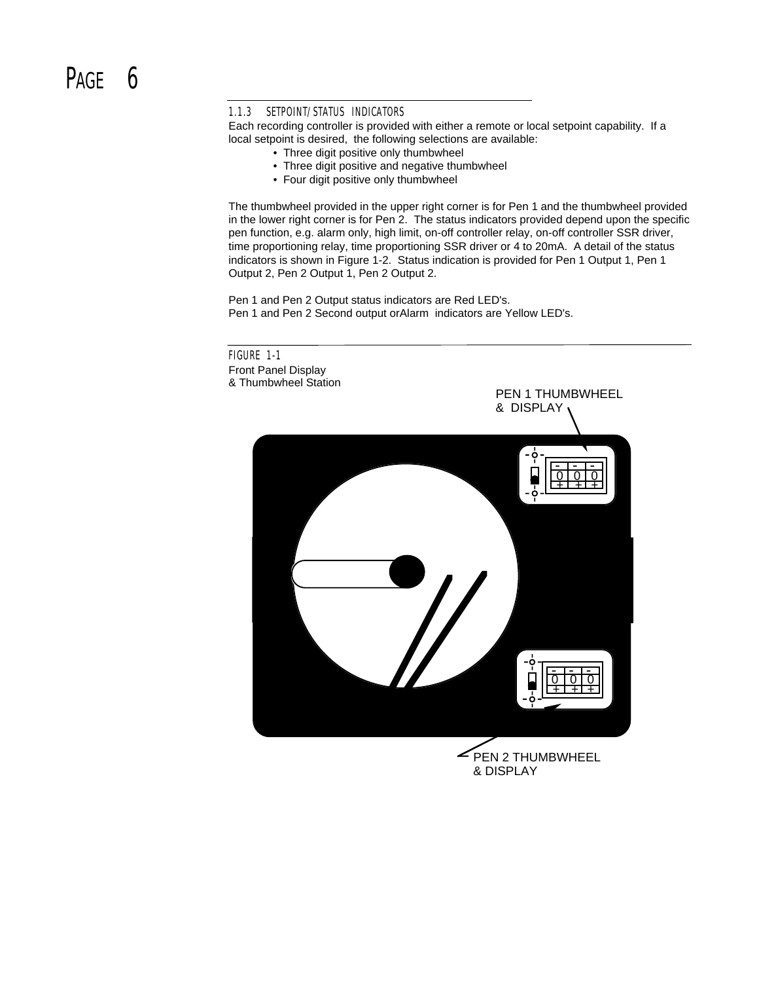# PAGF<sub>6</sub>

### 1.1.3 SETPOINT/STATUS INDICATORS

Each recording controller is provided with either a remote or local setpoint capability. If a local setpoint is desired, the following selections are available:

- Three digit positive only thumbwheel
- Three digit positive and negative thumbwheel
- Four digit positive only thumbwheel

The thumbwheel provided in the upper right corner is for Pen 1 and the thumbwheel provided in the lower right corner is for Pen 2. The status indicators provided depend upon the specific pen function, e.g. alarm only, high limit, on-off controller relay, on-off controller SSR driver, time proportioning relay, time proportioning SSR driver or 4 to 20mA. A detail of the status indicators is shown in Figure 1-2. Status indication is provided for Pen 1 Output 1, Pen 1 Output 2, Pen 2 Output 1, Pen 2 Output 2.

Pen 1 and Pen 2 Output status indicators are Red LED's. Pen 1 and Pen 2 Second output orAlarm indicators are Yellow LED's.



& DISPLAY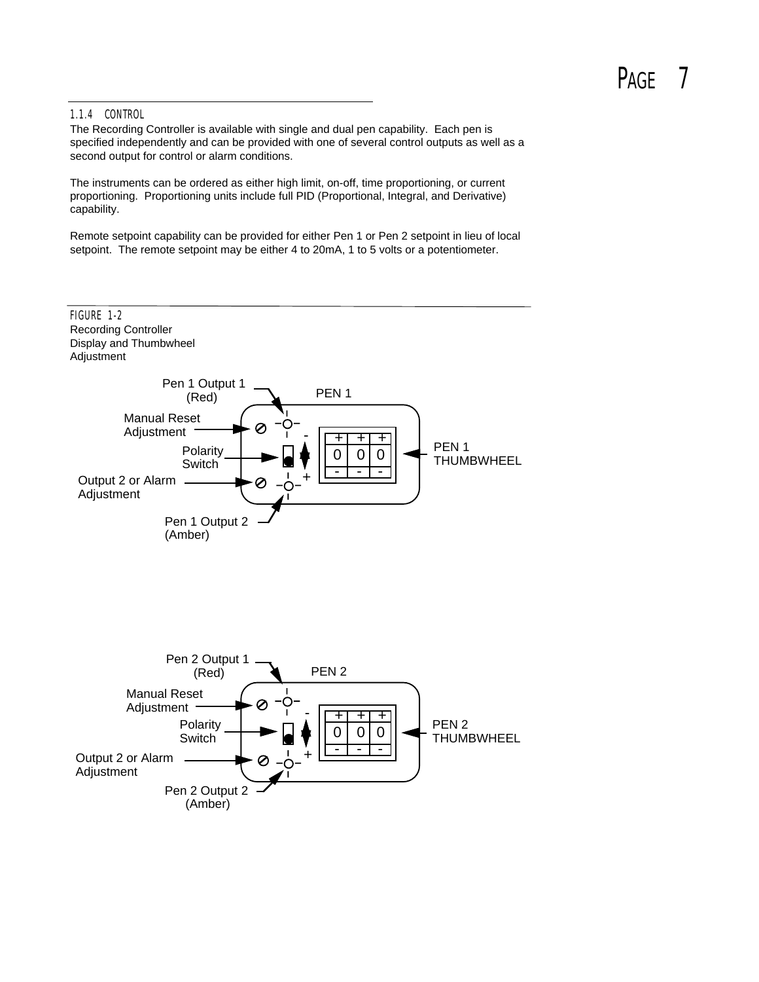# PAGF<sub>7</sub>

### 1.1.4 CONTROL

The Recording Controller is available with single and dual pen capability. Each pen is specified independently and can be provided with one of several control outputs as well as a second output for control or alarm conditions.

The instruments can be ordered as either high limit, on-off, time proportioning, or current proportioning. Proportioning units include full PID (Proportional, Integral, and Derivative) capability.

Remote setpoint capability can be provided for either Pen 1 or Pen 2 setpoint in lieu of local setpoint. The remote setpoint may be either 4 to 20mA, 1 to 5 volts or a potentiometer.

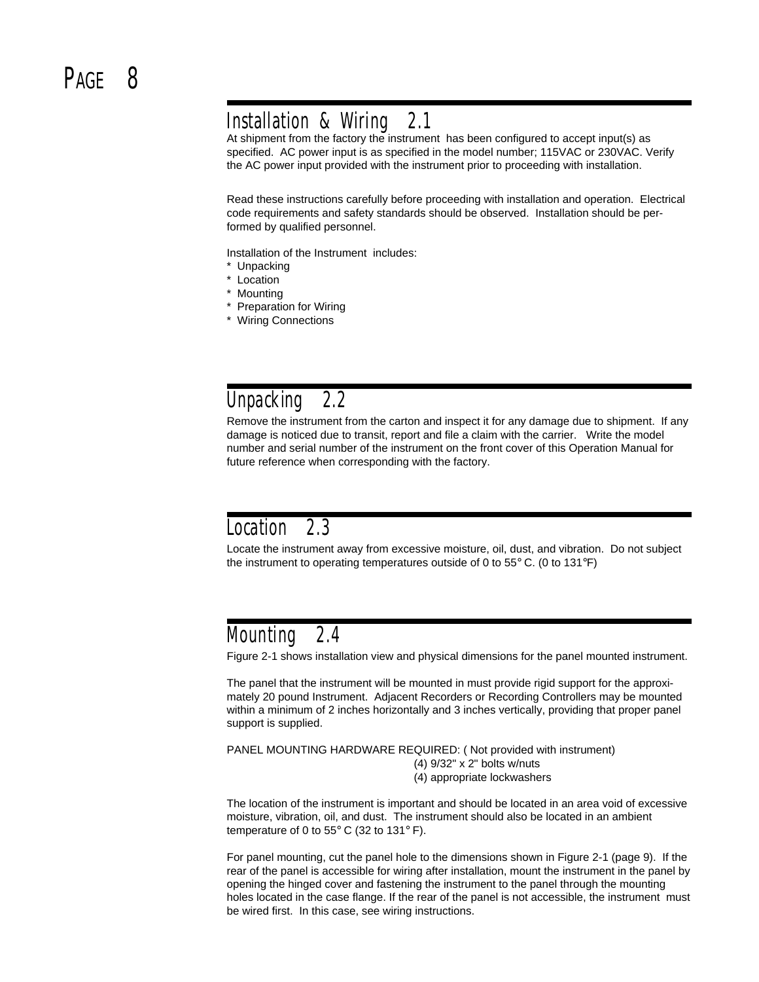### Installation & Wiring 2.1

At shipment from the factory the instrument has been configured to accept input(s) as specified. AC power input is as specified in the model number; 115VAC or 230VAC. Verify the AC power input provided with the instrument prior to proceeding with installation.

Read these instructions carefully before proceeding with installation and operation. Electrical code requirements and safety standards should be observed. Installation should be performed by qualified personnel.

Installation of the Instrument includes:

- \* Unpacking
- \* Location
- \* Mounting
- \* Preparation for Wiring
- \* Wiring Connections

### Unpacking 2.2

Remove the instrument from the carton and inspect it for any damage due to shipment. If any damage is noticed due to transit, report and file a claim with the carrier. Write the model number and serial number of the instrument on the front cover of this Operation Manual for future reference when corresponding with the factory.

### Location 2.3

Locate the instrument away from excessive moisture, oil, dust, and vibration. Do not subject the instrument to operating temperatures outside of 0 to 55° C. (0 to 131°F)

### Mounting 2.4

Figure 2-1 shows installation view and physical dimensions for the panel mounted instrument.

The panel that the instrument will be mounted in must provide rigid support for the approximately 20 pound Instrument. Adjacent Recorders or Recording Controllers may be mounted within a minimum of 2 inches horizontally and 3 inches vertically, providing that proper panel support is supplied.

PANEL MOUNTING HARDWARE REQUIRED: ( Not provided with instrument) (4) 9/32" x 2" bolts w/nuts (4) appropriate lockwashers

The location of the instrument is important and should be located in an area void of excessive moisture, vibration, oil, and dust. The instrument should also be located in an ambient temperature of 0 to 55° C (32 to 131° F).

For panel mounting, cut the panel hole to the dimensions shown in Figure 2-1 (page 9). If the rear of the panel is accessible for wiring after installation, mount the instrument in the panel by opening the hinged cover and fastening the instrument to the panel through the mounting holes located in the case flange. If the rear of the panel is not accessible, the instrument must be wired first. In this case, see wiring instructions.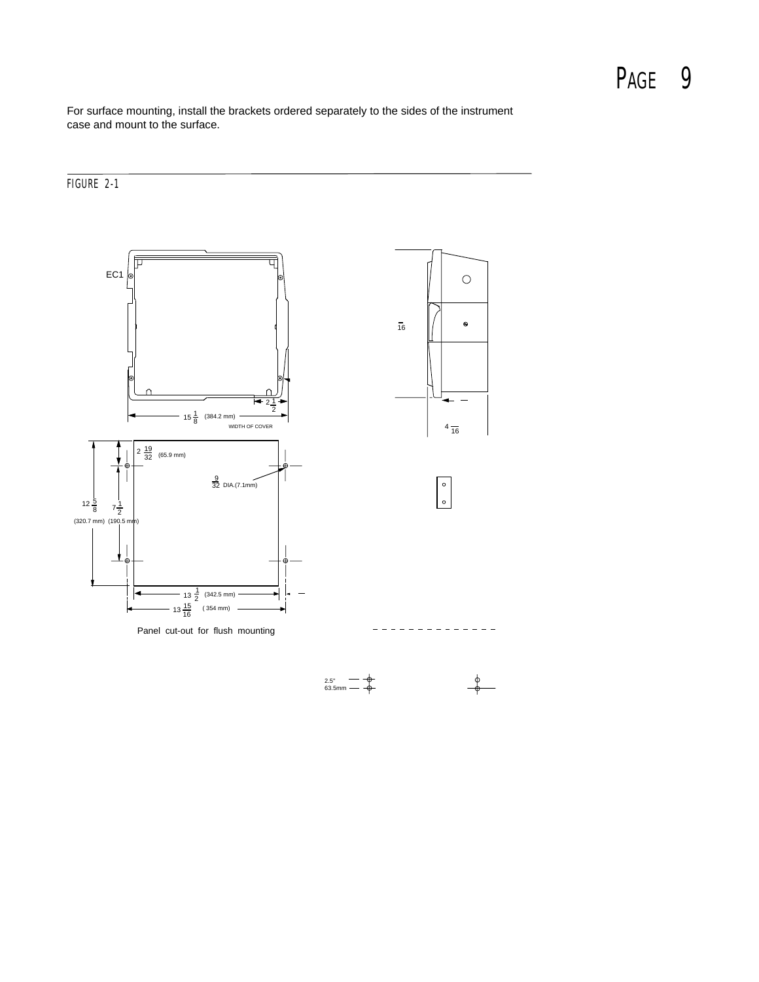For surface mounting, install the brackets ordered separately to the sides of the instrument case and mount to the surface.

### FIGURE 2-1



2.5<sup>+</sup> 
$$
\rightarrow
$$
  $\rightarrow$   $\rightarrow$   $\rightarrow$   $\rightarrow$   $\rightarrow$   $\rightarrow$   $\rightarrow$   $\rightarrow$   $\rightarrow$   $\rightarrow$   $\rightarrow$   $\rightarrow$   $\rightarrow$   $\rightarrow$   $\rightarrow$   $\rightarrow$   $\rightarrow$   $\rightarrow$   $\rightarrow$   $\rightarrow$   $\rightarrow$   $\rightarrow$   $\rightarrow$   $\rightarrow$   $\rightarrow$   $\rightarrow$   $\rightarrow$   $\rightarrow$   $\rightarrow$   $\rightarrow$   $\rightarrow$   $\rightarrow$   $\rightarrow$   $\rightarrow$   $\rightarrow$   $\rightarrow$   $\rightarrow$   $\rightarrow$   $\rightarrow$   $\rightarrow$   $\rightarrow$   $\rightarrow$   $\rightarrow$   $\rightarrow$   $\rightarrow$   $\rightarrow$   $\rightarrow$   $\rightarrow$   $\rightarrow$   $\rightarrow$   $\rightarrow$   $\rightarrow$   $\rightarrow$   $\rightarrow$   $\rightarrow$   $\rightarrow$   $\rightarrow$   $\rightarrow$   $\rightarrow$   $\rightarrow$   $\rightarrow$   $\rightarrow$   $\rightarrow$   $\rightarrow$   $\rightarrow$   $\rightarrow$   $\rightarrow$   $\rightarrow$   $\rightarrow$   $\rightarrow$   $\rightarrow$   $\rightarrow$   $\rightarrow$   $\rightarrow$   $\rightarrow$   $\rightarrow$   $\rightarrow$   $\rightarrow$   $\rightarrow$   $\rightarrow$   $\rightarrow$   $\rightarrow$   $\rightarrow$   $\rightarrow$   $\rightarrow$   $\rightarrow$   $\rightarrow$   $\rightarrow$   $\rightarrow$   $\rightarrow$   $\rightarrow$   $\rightarrow$   $\rightarrow$   $\rightarrow$   $\rightarrow$   $\rightarrow$   $\rightarrow$   $\rightarrow$   $\rightarrow$   $\rightarrow$   $\rightarrow$   $\rightarrow$   $\rightarrow$   $\rightarrow$   $\rightarrow$   $\rightarrow$   $\rightarrow$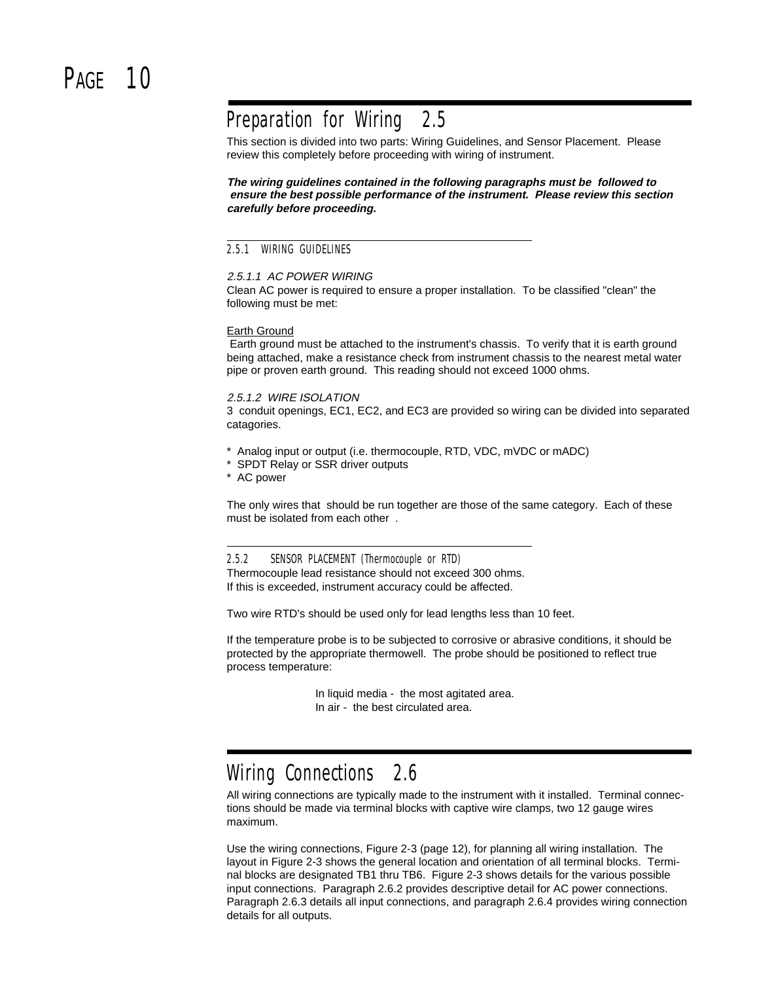### Preparation for Wiring 2.5

This section is divided into two parts: Wiring Guidelines, and Sensor Placement. Please review this completely before proceeding with wiring of instrument.

**The wiring guidelines contained in the following paragraphs must be followed to ensure the best possible performance of the instrument. Please review this section carefully before proceeding.**

### 2.5.1 WIRING GUIDELINES

#### 2.5.1.1 AC POWER WIRING

Clean AC power is required to ensure a proper installation. To be classified "clean" the following must be met:

#### Earth Ground

 Earth ground must be attached to the instrument's chassis. To verify that it is earth ground being attached, make a resistance check from instrument chassis to the nearest metal water pipe or proven earth ground. This reading should not exceed 1000 ohms.

#### 2.5.1.2 WIRE ISOLATION

3 conduit openings, EC1, EC2, and EC3 are provided so wiring can be divided into separated catagories.

- \* Analog input or output (i.e. thermocouple, RTD, VDC, mVDC or mADC)
- \* SPDT Relay or SSR driver outputs
- \* AC power

The only wires that should be run together are those of the same category. Each of these must be isolated from each other .

2.5.2 SENSOR PLACEMENT (Thermocouple or RTD) Thermocouple lead resistance should not exceed 300 ohms. If this is exceeded, instrument accuracy could be affected.

Two wire RTD's should be used only for lead lengths less than 10 feet.

If the temperature probe is to be subjected to corrosive or abrasive conditions, it should be protected by the appropriate thermowell. The probe should be positioned to reflect true process temperature:

> In liquid media - the most agitated area. In air - the best circulated area.

### Wiring Connections 2.6

All wiring connections are typically made to the instrument with it installed. Terminal connections should be made via terminal blocks with captive wire clamps, two 12 gauge wires maximum.

Use the wiring connections, Figure 2-3 (page 12), for planning all wiring installation. The layout in Figure 2-3 shows the general location and orientation of all terminal blocks. Terminal blocks are designated TB1 thru TB6. Figure 2-3 shows details for the various possible input connections. Paragraph 2.6.2 provides descriptive detail for AC power connections. Paragraph 2.6.3 details all input connections, and paragraph 2.6.4 provides wiring connection details for all outputs.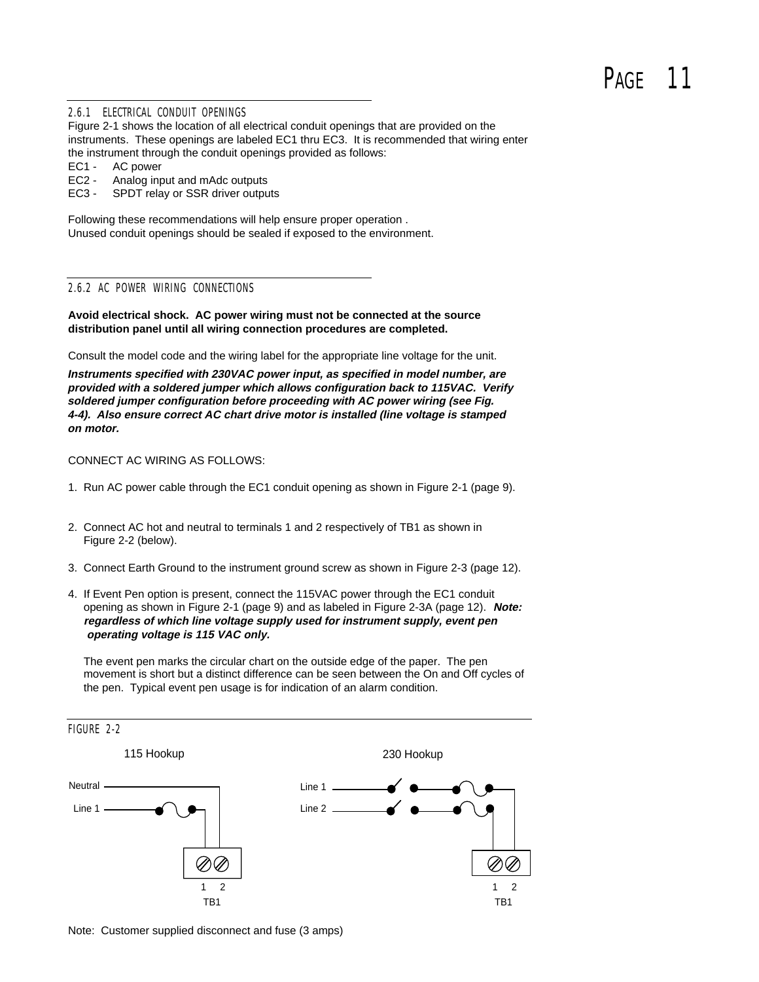#### 2.6.1 ELECTRICAL CONDUIT OPENINGS

Figure 2-1 shows the location of all electrical conduit openings that are provided on the instruments. These openings are labeled EC1 thru EC3. It is recommended that wiring enter the instrument through the conduit openings provided as follows:

- EC1 AC power
- EC2 Analog input and mAdc outputs
- EC3 SPDT relay or SSR driver outputs

Following these recommendations will help ensure proper operation . Unused conduit openings should be sealed if exposed to the environment.

#### 2.6.2 AC POWER WIRING CONNECTIONS

**Avoid electrical shock. AC power wiring must not be connected at the source distribution panel until all wiring connection procedures are completed.**

Consult the model code and the wiring label for the appropriate line voltage for the unit.

**Instruments specified with 230VAC power input, as specified in model number, are provided with a soldered jumper which allows configuration back to 115VAC. Verify soldered jumper configuration before proceeding with AC power wiring (see Fig. 4-4). Also ensure correct AC chart drive motor is installed (line voltage is stamped on motor.**

### CONNECT AC WIRING AS FOLLOWS:

- 1. Run AC power cable through the EC1 conduit opening as shown in Figure 2-1 (page 9).
- 2. Connect AC hot and neutral to terminals 1 and 2 respectively of TB1 as shown in Figure 2-2 (below).
- 3. Connect Earth Ground to the instrument ground screw as shown in Figure 2-3 (page 12).
- 4. If Event Pen option is present, connect the 115VAC power through the EC1 conduit opening as shown in Figure 2-1 (page 9) and as labeled in Figure 2-3A (page 12). **Note: regardless of which line voltage supply used for instrument supply, event pen operating voltage is 115 VAC only.**

 The event pen marks the circular chart on the outside edge of the paper. The pen movement is short but a distinct difference can be seen between the On and Off cycles of the pen. Typical event pen usage is for indication of an alarm condition.



Note: Customer supplied disconnect and fuse (3 amps)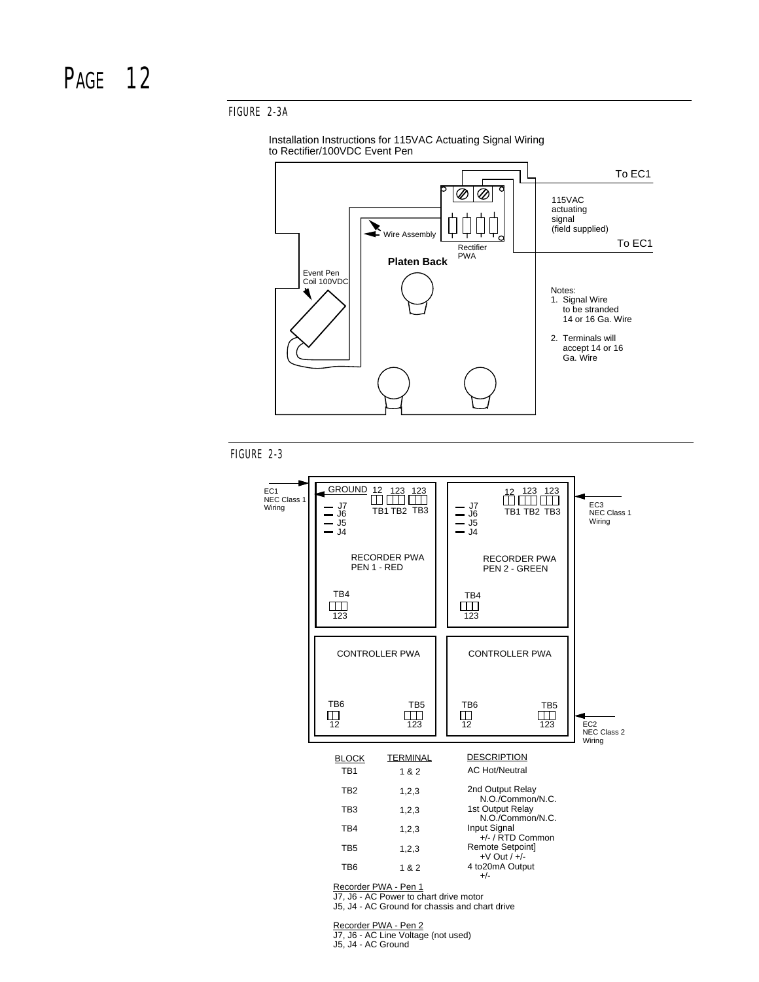### FIGURE 2-3A





FIGURE 2-3



Recorder PWA - Pen 1

J7, J6 - AC Power to chart drive motor J5, J4 - AC Ground for chassis and chart drive

Recorder PWA - Pen 2

J7, J6 - AC Line Voltage (not used) J5, J4 - AC Ground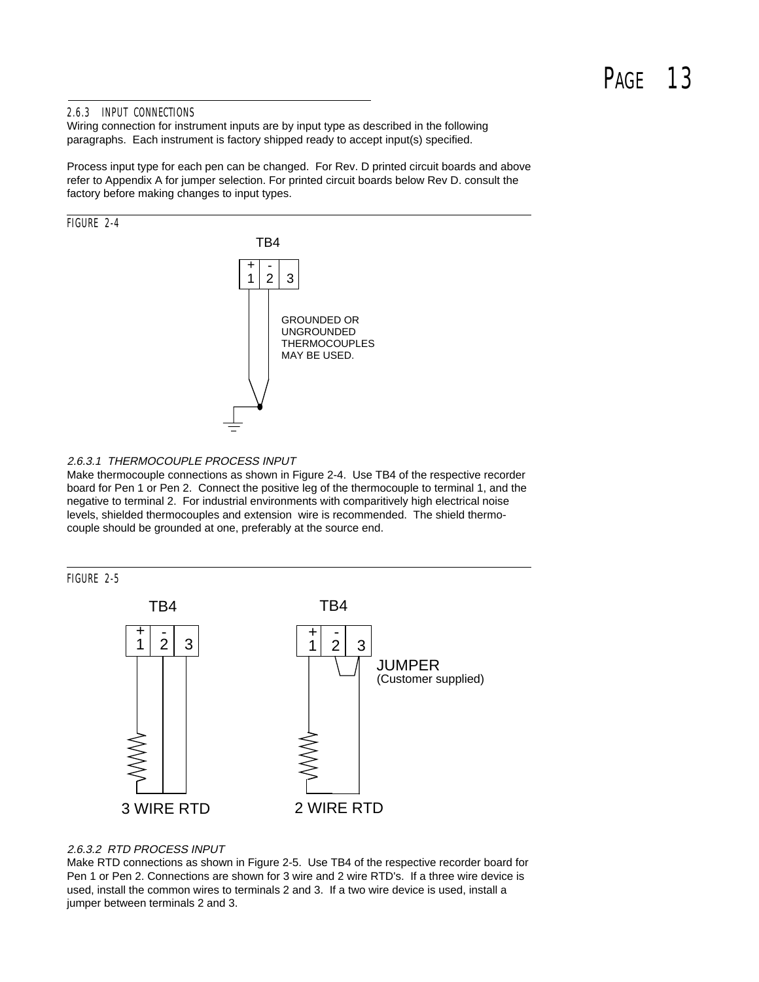# PAGF<sub>13</sub>

### 2.6.3 INPUT CONNECTIONS

Wiring connection for instrument inputs are by input type as described in the following paragraphs. Each instrument is factory shipped ready to accept input(s) specified.

Process input type for each pen can be changed. For Rev. D printed circuit boards and above refer to Appendix A for jumper selection. For printed circuit boards below Rev D. consult the factory before making changes to input types.



#### 2.6.3.1 THERMOCOUPLE PROCESS INPUT

Make thermocouple connections as shown in Figure 2-4. Use TB4 of the respective recorder board for Pen 1 or Pen 2. Connect the positive leg of the thermocouple to terminal 1, and the negative to terminal 2. For industrial environments with comparitively high electrical noise levels, shielded thermocouples and extension wire is recommended. The shield thermocouple should be grounded at one, preferably at the source end.



### 2.6.3.2 RTD PROCESS INPUT

Make RTD connections as shown in Figure 2-5. Use TB4 of the respective recorder board for Pen 1 or Pen 2. Connections are shown for 3 wire and 2 wire RTD's. If a three wire device is used, install the common wires to terminals 2 and 3. If a two wire device is used, install a jumper between terminals 2 and 3.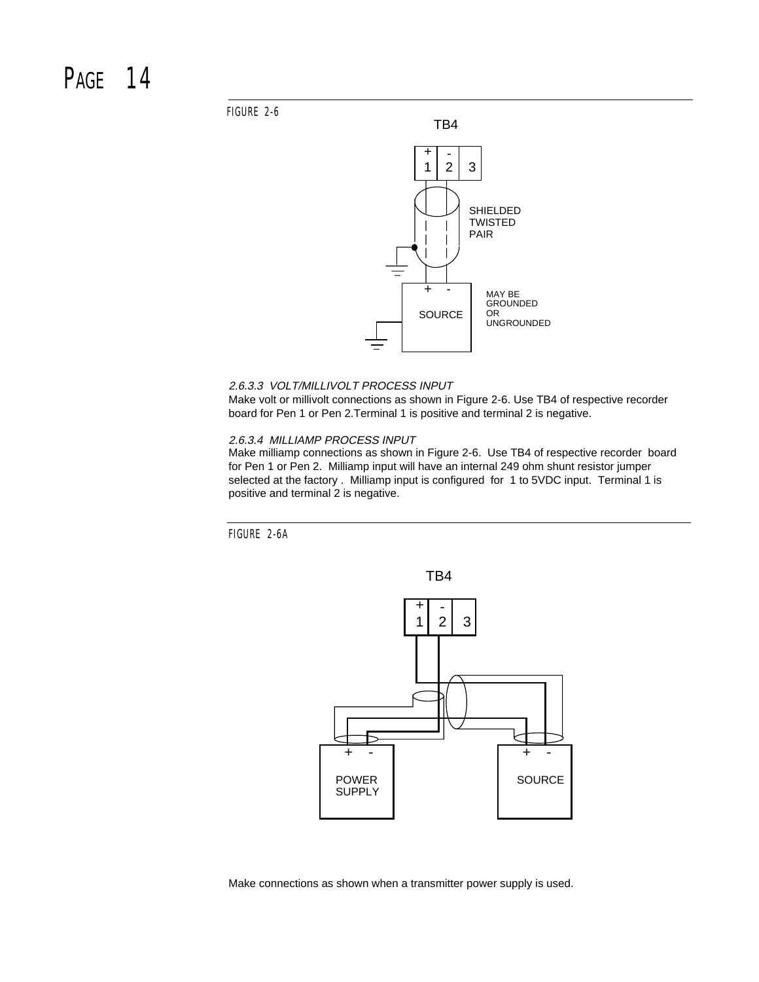### PAGF<sub>14</sub>

FIGURE 2-6



#### 2.6.3.3 VOLT/MILLIVOLT PROCESS INPUT

Make volt or millivolt connections as shown in Figure 2-6. Use TB4 of respective recorder board for Pen 1 or Pen 2.Terminal 1 is positive and terminal 2 is negative.

#### 2.6.3.4 MILLIAMP PROCESS INPUT

Make milliamp connections as shown in Figure 2-6. Use TB4 of respective recorder board for Pen 1 or Pen 2. Milliamp input will have an internal 249 ohm shunt resistor jumper selected at the factory . Milliamp input is configured for 1 to 5VDC input. Terminal 1 is positive and terminal 2 is negative.

FIGURE 2-6A



Make connections as shown when a transmitter power supply is used.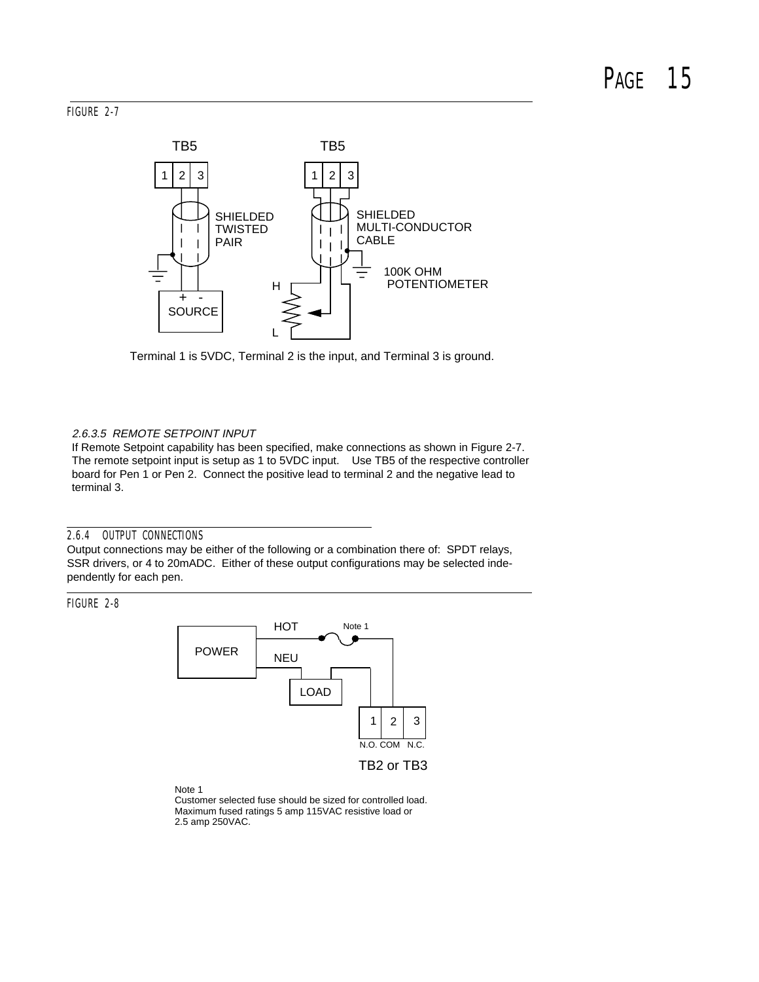### FIGURE 2-7



Terminal 1 is 5VDC, Terminal 2 is the input, and Terminal 3 is ground.

### 2.6.3.5 REMOTE SETPOINT INPUT

If Remote Setpoint capability has been specified, make connections as shown in Figure 2-7. The remote setpoint input is setup as 1 to 5VDC input. Use TB5 of the respective controller board for Pen 1 or Pen 2. Connect the positive lead to terminal 2 and the negative lead to terminal 3.

### 2.6.4 OUTPUT CONNECTIONS

Output connections may be either of the following or a combination there of: SPDT relays, SSR drivers, or 4 to 20mADC. Either of these output configurations may be selected independently for each pen.

FIGURE 2-8



Note 1 Customer selected fuse should be sized for controlled load. Maximum fused ratings 5 amp 115VAC resistive load or 2.5 amp 250VAC.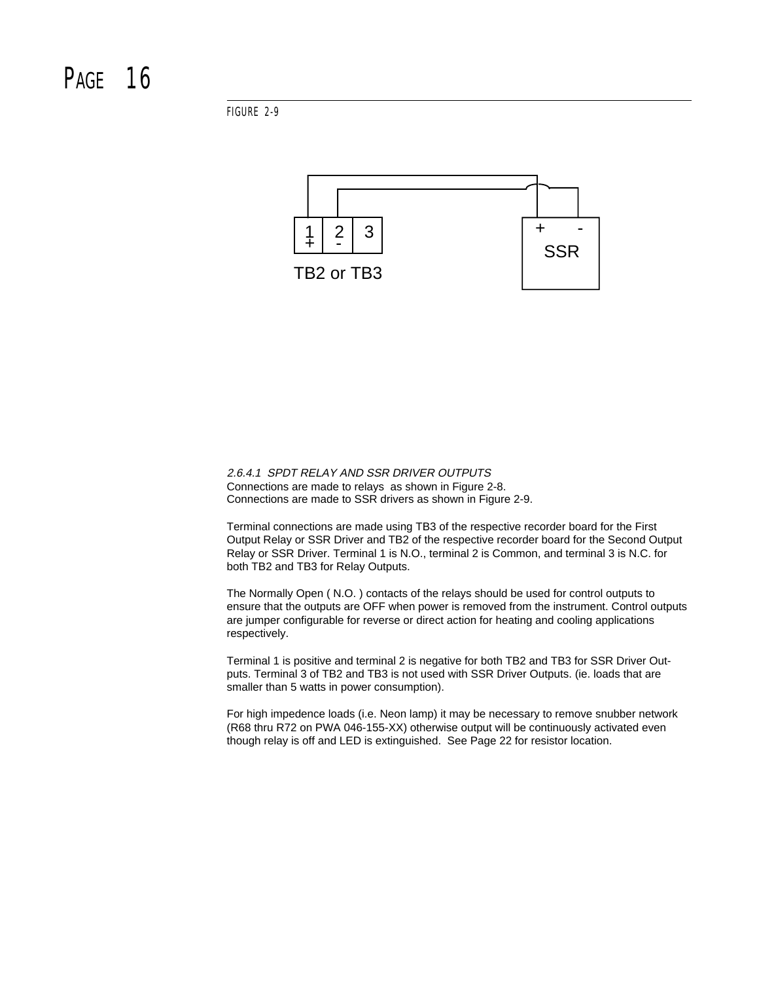FIGURE 2-9



2.6.4.1 SPDT RELAY AND SSR DRIVER OUTPUTS Connections are made to relays as shown in Figure 2-8. Connections are made to SSR drivers as shown in Figure 2-9.

Terminal connections are made using TB3 of the respective recorder board for the First Output Relay or SSR Driver and TB2 of the respective recorder board for the Second Output Relay or SSR Driver. Terminal 1 is N.O., terminal 2 is Common, and terminal 3 is N.C. for both TB2 and TB3 for Relay Outputs.

The Normally Open ( N.O. ) contacts of the relays should be used for control outputs to ensure that the outputs are OFF when power is removed from the instrument. Control outputs are jumper configurable for reverse or direct action for heating and cooling applications respectively.

Terminal 1 is positive and terminal 2 is negative for both TB2 and TB3 for SSR Driver Outputs. Terminal 3 of TB2 and TB3 is not used with SSR Driver Outputs. (ie. loads that are smaller than 5 watts in power consumption).

For high impedence loads (i.e. Neon lamp) it may be necessary to remove snubber network (R68 thru R72 on PWA 046-155-XX) otherwise output will be continuously activated even though relay is off and LED is extinguished. See Page 22 for resistor location.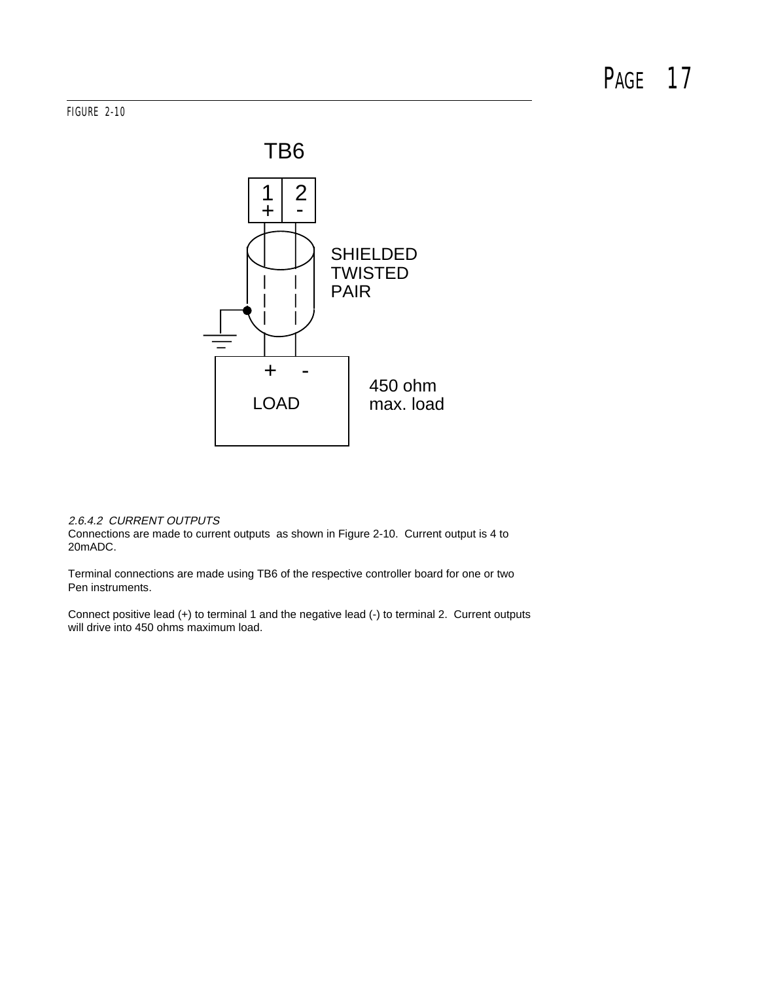### FIGURE 2-10



### 2.6.4.2 CURRENT OUTPUTS

Connections are made to current outputs as shown in Figure 2-10. Current output is 4 to 20mADC.

Terminal connections are made using TB6 of the respective controller board for one or two Pen instruments.

Connect positive lead (+) to terminal 1 and the negative lead (-) to terminal 2. Current outputs will drive into 450 ohms maximum load.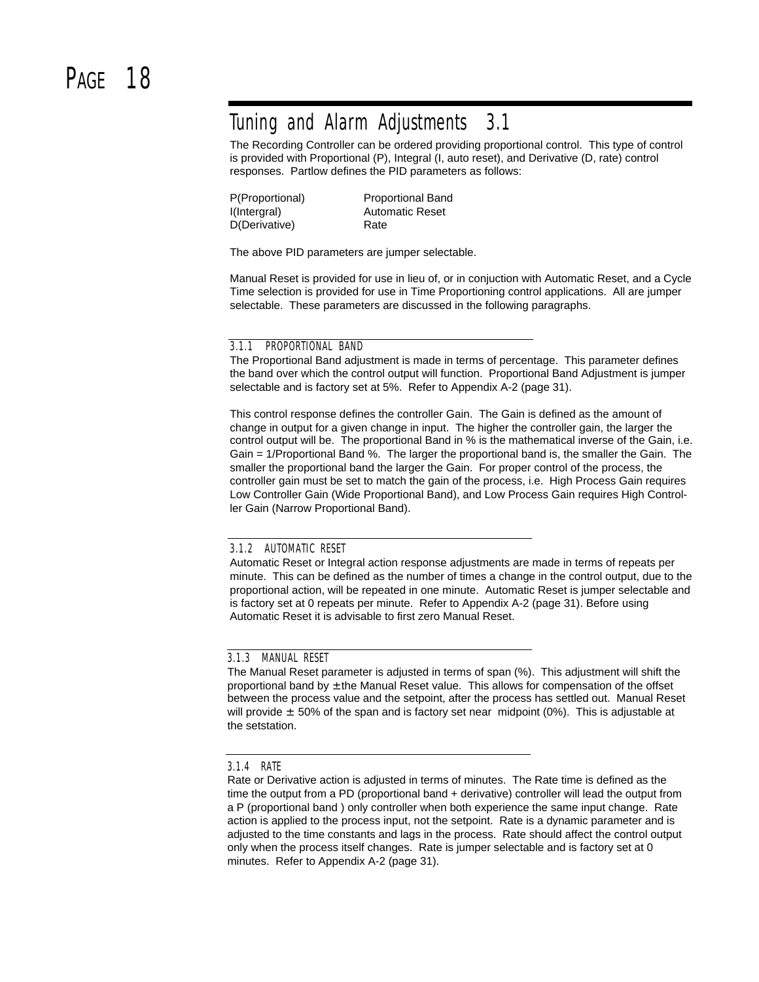### Tuning and Alarm Adjustments 3.1

The Recording Controller can be ordered providing proportional control. This type of control is provided with Proportional (P), Integral (I, auto reset), and Derivative (D, rate) control responses. Partlow defines the PID parameters as follows:

| P(Proportional) | <b>Proportional Band</b> |
|-----------------|--------------------------|
| I(Intergral)    | <b>Automatic Reset</b>   |
| D(Derivative)   | Rate                     |

The above PID parameters are jumper selectable.

Manual Reset is provided for use in lieu of, or in conjuction with Automatic Reset, and a Cycle Time selection is provided for use in Time Proportioning control applications. All are jumper selectable. These parameters are discussed in the following paragraphs.

#### 3.1.1 PROPORTIONAL BAND

The Proportional Band adjustment is made in terms of percentage. This parameter defines the band over which the control output will function. Proportional Band Adjustment is jumper selectable and is factory set at 5%. Refer to Appendix A-2 (page 31).

This control response defines the controller Gain. The Gain is defined as the amount of change in output for a given change in input. The higher the controller gain, the larger the control output will be. The proportional Band in % is the mathematical inverse of the Gain, i.e. Gain = 1/Proportional Band %. The larger the proportional band is, the smaller the Gain. The smaller the proportional band the larger the Gain. For proper control of the process, the controller gain must be set to match the gain of the process, i.e. High Process Gain requires Low Controller Gain (Wide Proportional Band), and Low Process Gain requires High Controller Gain (Narrow Proportional Band).

#### 3.1.2 AUTOMATIC RESET

Automatic Reset or Integral action response adjustments are made in terms of repeats per minute. This can be defined as the number of times a change in the control output, due to the proportional action, will be repeated in one minute. Automatic Reset is jumper selectable and is factory set at 0 repeats per minute. Refer to Appendix A-2 (page 31). Before using Automatic Reset it is advisable to first zero Manual Reset.

### 3.1.3 MANUAL RESET

The Manual Reset parameter is adjusted in terms of span (%). This adjustment will shift the proportional band by  $\pm$  the Manual Reset value. This allows for compensation of the offset between the process value and the setpoint, after the process has settled out. Manual Reset will provide  $\pm$  50% of the span and is factory set near midpoint (0%). This is adjustable at the setstation.

#### 3.1.4 RATE

Rate or Derivative action is adjusted in terms of minutes. The Rate time is defined as the time the output from a PD (proportional band + derivative) controller will lead the output from a P (proportional band ) only controller when both experience the same input change. Rate action is applied to the process input, not the setpoint. Rate is a dynamic parameter and is adjusted to the time constants and lags in the process. Rate should affect the control output only when the process itself changes. Rate is jumper selectable and is factory set at 0 minutes. Refer to Appendix A-2 (page 31).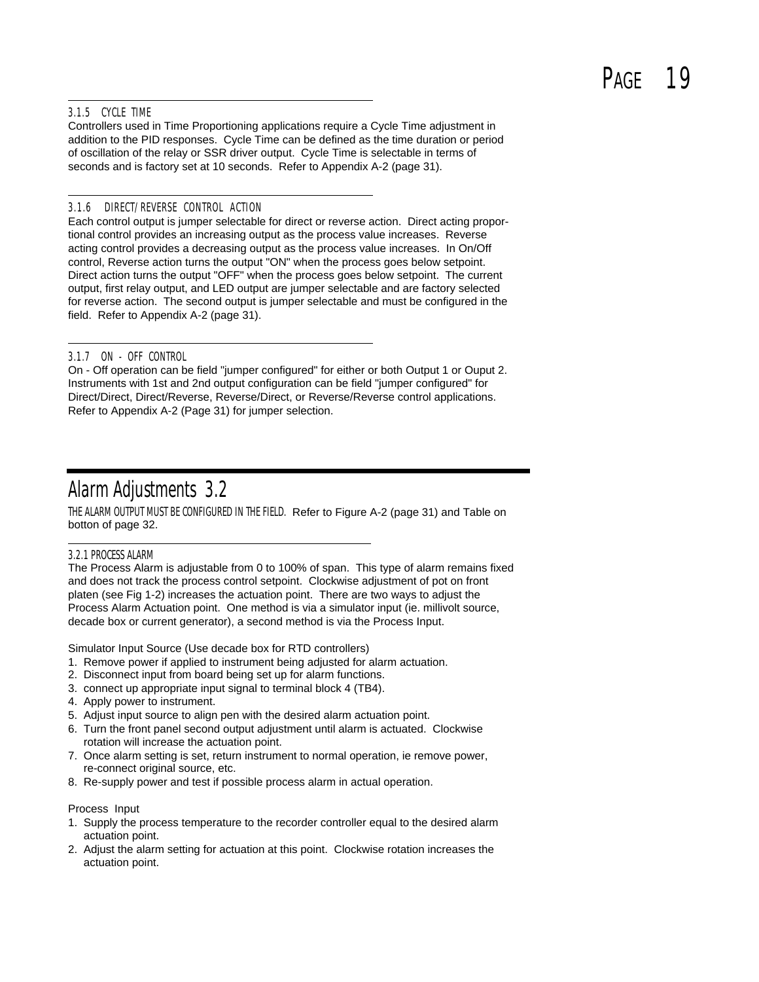# P<sub>AGE</sub> 19

### 3.1.5 CYCLE TIME

Controllers used in Time Proportioning applications require a Cycle Time adjustment in addition to the PID responses. Cycle Time can be defined as the time duration or period of oscillation of the relay or SSR driver output. Cycle Time is selectable in terms of seconds and is factory set at 10 seconds. Refer to Appendix A-2 (page 31).

### 3.1.6 DIRECT/REVERSE CONTROL ACTION

Each control output is jumper selectable for direct or reverse action. Direct acting proportional control provides an increasing output as the process value increases. Reverse acting control provides a decreasing output as the process value increases. In On/Off control, Reverse action turns the output "ON" when the process goes below setpoint. Direct action turns the output "OFF" when the process goes below setpoint. The current output, first relay output, and LED output are jumper selectable and are factory selected for reverse action. The second output is jumper selectable and must be configured in the field. Refer to Appendix A-2 (page 31).

### 3.1.7 ON - OFF CONTROL

On - Off operation can be field "jumper configured" for either or both Output 1 or Ouput 2. Instruments with 1st and 2nd output configuration can be field "jumper configured" for Direct/Direct, Direct/Reverse, Reverse/Direct, or Reverse/Reverse control applications. Refer to Appendix A-2 (Page 31) for jumper selection.

### Alarm Adjustments 3.2

THE ALARM OUTPUT MUST BE CONFIGURED IN THE FIELD. Refer to Figure A-2 (page 31) and Table on botton of page 32.

### 3.2.1 PROCESS ALARM

The Process Alarm is adjustable from 0 to 100% of span. This type of alarm remains fixed and does not track the process control setpoint. Clockwise adjustment of pot on front platen (see Fig 1-2) increases the actuation point. There are two ways to adjust the Process Alarm Actuation point. One method is via a simulator input (ie. millivolt source, decade box or current generator), a second method is via the Process Input.

Simulator Input Source (Use decade box for RTD controllers)

- 1. Remove power if applied to instrument being adjusted for alarm actuation.
- 2. Disconnect input from board being set up for alarm functions.
- 3. connect up appropriate input signal to terminal block 4 (TB4).
- 4. Apply power to instrument.
- 5. Adjust input source to align pen with the desired alarm actuation point.
- 6. Turn the front panel second output adjustment until alarm is actuated. Clockwise rotation will increase the actuation point.
- 7. Once alarm setting is set, return instrument to normal operation, ie remove power, re-connect original source, etc.
- 8. Re-supply power and test if possible process alarm in actual operation.

#### Process Input

- 1. Supply the process temperature to the recorder controller equal to the desired alarm actuation point.
- 2. Adjust the alarm setting for actuation at this point. Clockwise rotation increases the actuation point.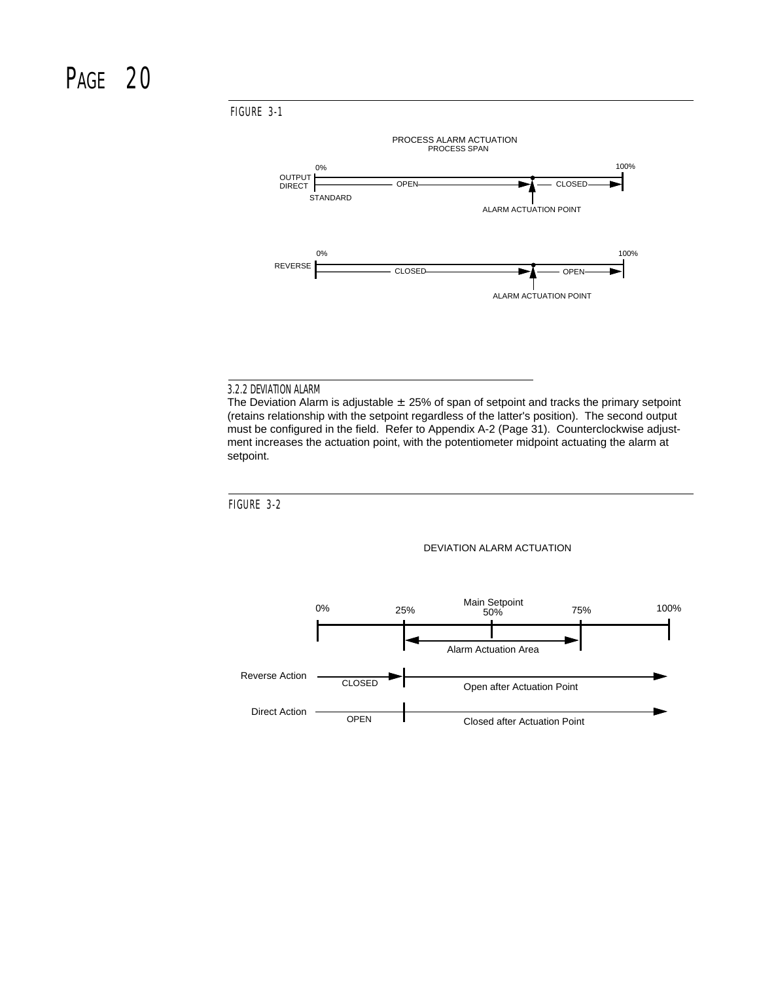FIGURE 3-1



#### 3.2.2 DEVIATION ALARM

The Deviation Alarm is adjustable  $\pm 25\%$  of span of setpoint and tracks the primary setpoint (retains relationship with the setpoint regardless of the latter's position). The second output must be configured in the field. Refer to Appendix A-2 (Page 31). Counterclockwise adjustment increases the actuation point, with the potentiometer midpoint actuating the alarm at setpoint.



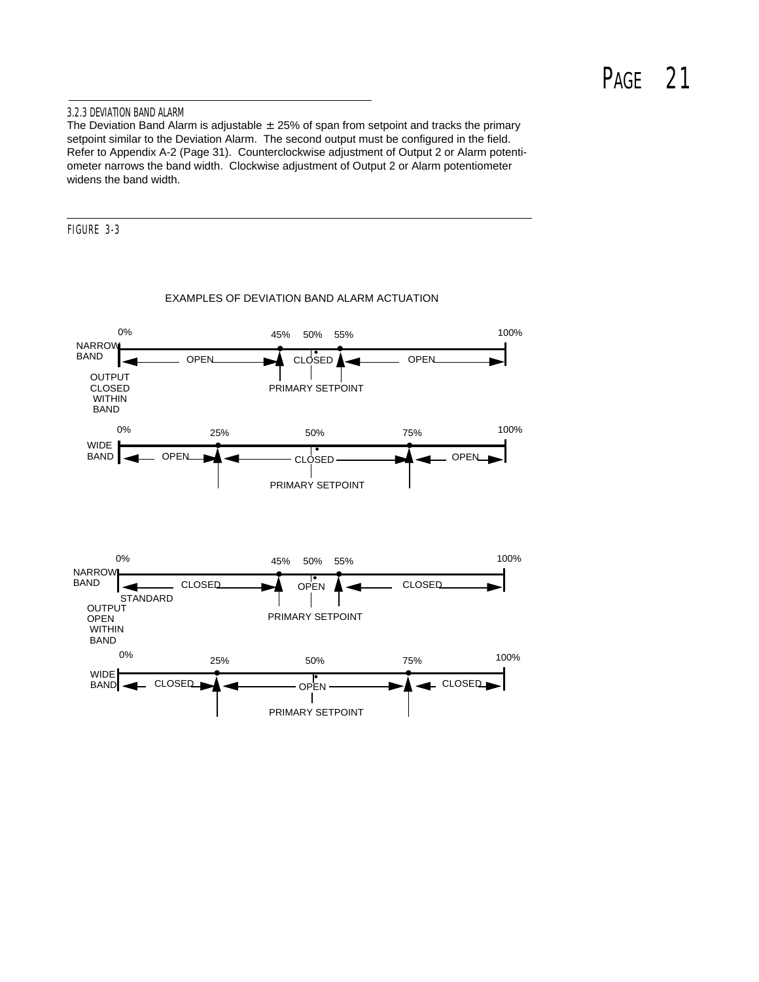### 3.2.3 DEVIATION BAND ALARM

The Deviation Band Alarm is adjustable  $\pm 25%$  of span from setpoint and tracks the primary setpoint similar to the Deviation Alarm. The second output must be configured in the field. Refer to Appendix A-2 (Page 31). Counterclockwise adjustment of Output 2 or Alarm potentiometer narrows the band width. Clockwise adjustment of Output 2 or Alarm potentiometer widens the band width.

FIGURE 3-3



#### EXAMPLES OF DEVIATION BAND ALARM ACTUATION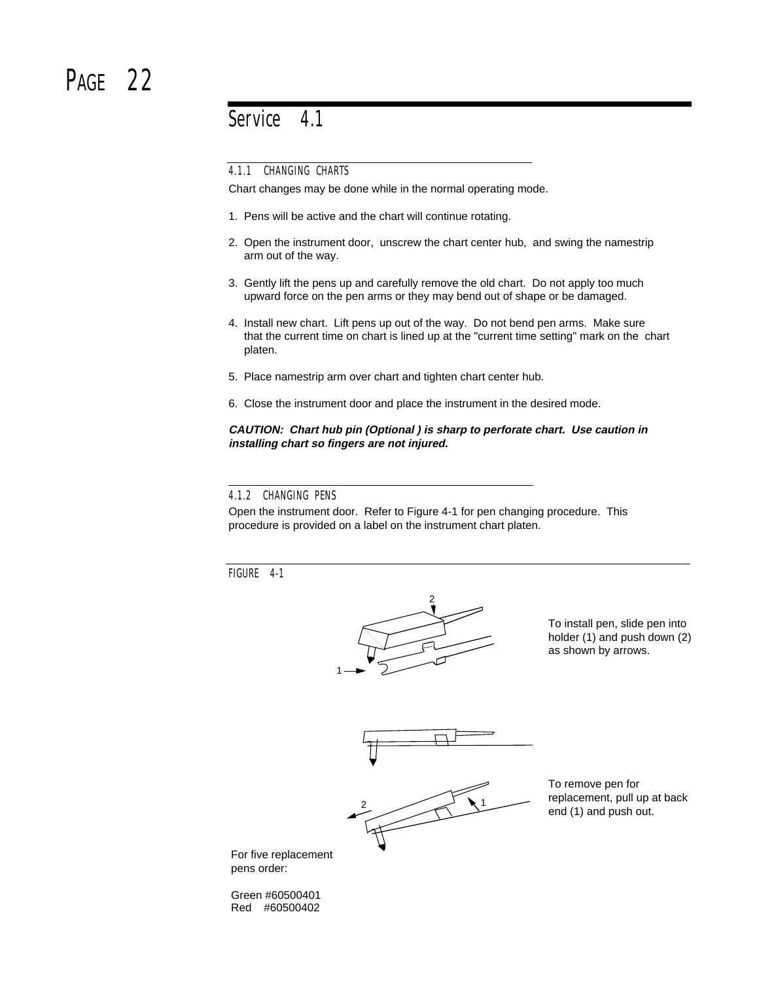### PAGF<sub>22</sub>

Service 4.1

4.1.1 CHANGING CHARTS

Chart changes may be done while in the normal operating mode.

- 1. Pens will be active and the chart will continue rotating.
- 2. Open the instrument door, unscrew the chart center hub, and swing the namestrip arm out of the way.
- 3. Gently lift the pens up and carefully remove the old chart. Do not apply too much upward force on the pen arms or they may bend out of shape or be damaged.
- 4. Install new chart. Lift pens up out of the way. Do not bend pen arms. Make sure that the current time on chart is lined up at the "current time setting" mark on the chart platen.
- 5. Place namestrip arm over chart and tighten chart center hub.
- 6. Close the instrument door and place the instrument in the desired mode.

### **CAUTION: Chart hub pin (Optional ) is sharp to perforate chart. Use caution in installing chart so fingers are not injured.**

### 4.1.2 CHANGING PENS

Open the instrument door. Refer to Figure 4-1 for pen changing procedure. This procedure is provided on a label on the instrument chart platen.

FIGURE 4-1



To install pen, slide pen into holder (1) and push down (2) as shown by arrows.



2  $\sim$  1

To remove pen for replacement, pull up at back end (1) and push out.

For five replacement pens order:

Green #60500401 Red #60500402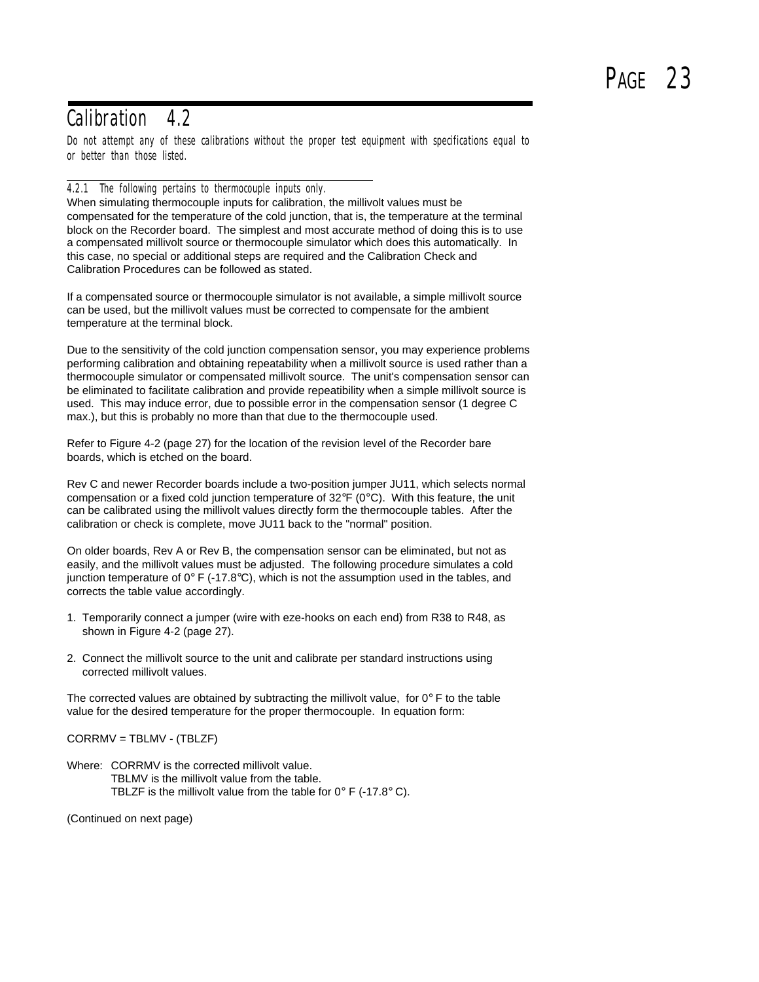### Calibration 4.2

Do not attempt any of these calibrations without the proper test equipment with specifications equal to or better than those listed.

### 4.2.1 The following pertains to thermocouple inputs only.

When simulating thermocouple inputs for calibration, the millivolt values must be compensated for the temperature of the cold junction, that is, the temperature at the terminal block on the Recorder board. The simplest and most accurate method of doing this is to use a compensated millivolt source or thermocouple simulator which does this automatically. In this case, no special or additional steps are required and the Calibration Check and Calibration Procedures can be followed as stated.

If a compensated source or thermocouple simulator is not available, a simple millivolt source can be used, but the millivolt values must be corrected to compensate for the ambient temperature at the terminal block.

Due to the sensitivity of the cold junction compensation sensor, you may experience problems performing calibration and obtaining repeatability when a millivolt source is used rather than a thermocouple simulator or compensated millivolt source. The unit's compensation sensor can be eliminated to facilitate calibration and provide repeatibility when a simple millivolt source is used. This may induce error, due to possible error in the compensation sensor (1 degree C max.), but this is probably no more than that due to the thermocouple used.

Refer to Figure 4-2 (page 27) for the location of the revision level of the Recorder bare boards, which is etched on the board.

Rev C and newer Recorder boards include a two-position jumper JU11, which selects normal compensation or a fixed cold junction temperature of  $32^{\circ}F$  (0°C). With this feature, the unit can be calibrated using the millivolt values directly form the thermocouple tables. After the calibration or check is complete, move JU11 back to the "normal" position.

On older boards, Rev A or Rev B, the compensation sensor can be eliminated, but not as easily, and the millivolt values must be adjusted. The following procedure simulates a cold junction temperature of  $0^{\circ}$  F (-17.8 $^{\circ}$ C), which is not the assumption used in the tables, and corrects the table value accordingly.

- 1. Temporarily connect a jumper (wire with eze-hooks on each end) from R38 to R48, as shown in Figure 4-2 (page 27).
- 2. Connect the millivolt source to the unit and calibrate per standard instructions using corrected millivolt values.

The corrected values are obtained by subtracting the millivolt value, for  $0^\circ$  F to the table value for the desired temperature for the proper thermocouple. In equation form:

CORRMV = TBLMV - (TBLZF)

Where: CORRMV is the corrected millivolt value. TBLMV is the millivolt value from the table. TBLZF is the millivolt value from the table for  $0^{\circ}$  F (-17.8 $^{\circ}$  C).

(Continued on next page)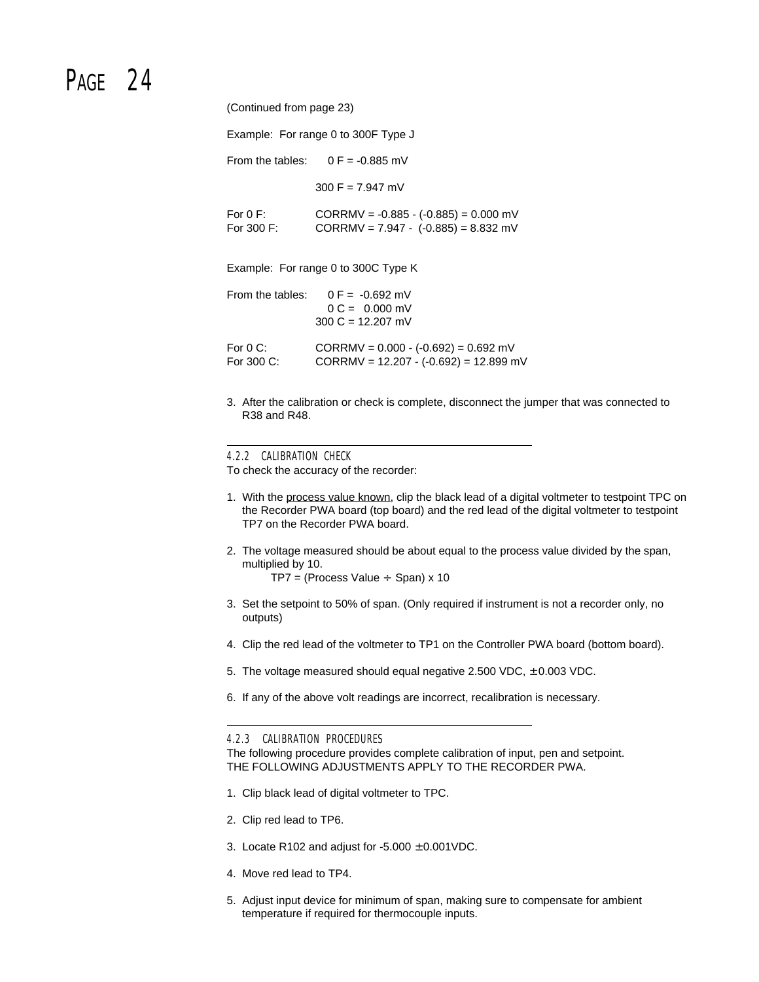# PAGF<sub>24</sub>

(Continued from page 23)

Example: For range 0 to 300F Type J

From the tables:  $0 F = -0.885$  mV

 $300 F = 7.947 mV$ 

| For $0 \text{ F}$ : | $CORRMV = -0.885 - (-0.885) = 0.000$ mV |
|---------------------|-----------------------------------------|
| For 300 $F$ :       | $CORRMV = 7.947 - (-0.885) = 8.832$ mV  |

Example: For range 0 to 300C Type K

|                       | From the tables: $0 F = -0.692$ mV<br>$0 C = 0.000$ mV<br>$300 C = 12.207$ mV |
|-----------------------|-------------------------------------------------------------------------------|
| For $0 \, \text{C}$ : | $CORRMV = 0.000 - (-0.692) = 0.692$ mV                                        |
| For 300 C:            | $CORRMV = 12.207 - (-0.692) = 12.899$ mV                                      |

3. After the calibration or check is complete, disconnect the jumper that was connected to R38 and R48.

#### 4.2.2 CALIBRATION CHECK

To check the accuracy of the recorder:

- 1. With the process value known, clip the black lead of a digital voltmeter to testpoint TPC on the Recorder PWA board (top board) and the red lead of the digital voltmeter to testpoint TP7 on the Recorder PWA board.
- 2. The voltage measured should be about equal to the process value divided by the span, multiplied by 10.

 $TP7 = (Process Value \div Span) \times 10$ 

- 3. Set the setpoint to 50% of span. (Only required if instrument is not a recorder only, no outputs)
- 4. Clip the red lead of the voltmeter to TP1 on the Controller PWA board (bottom board).
- 5. The voltage measured should equal negative 2.500 VDC, ± 0.003 VDC.
- 6. If any of the above volt readings are incorrect, recalibration is necessary.

4.2.3 CALIBRATION PROCEDURES

The following procedure provides complete calibration of input, pen and setpoint. THE FOLLOWING ADJUSTMENTS APPLY TO THE RECORDER PWA.

- 1. Clip black lead of digital voltmeter to TPC.
- 2. Clip red lead to TP6.
- 3. Locate R102 and adjust for  $-5.000 \pm 0.001$  VDC.
- 4. Move red lead to TP4.
- 5. Adjust input device for minimum of span, making sure to compensate for ambient temperature if required for thermocouple inputs.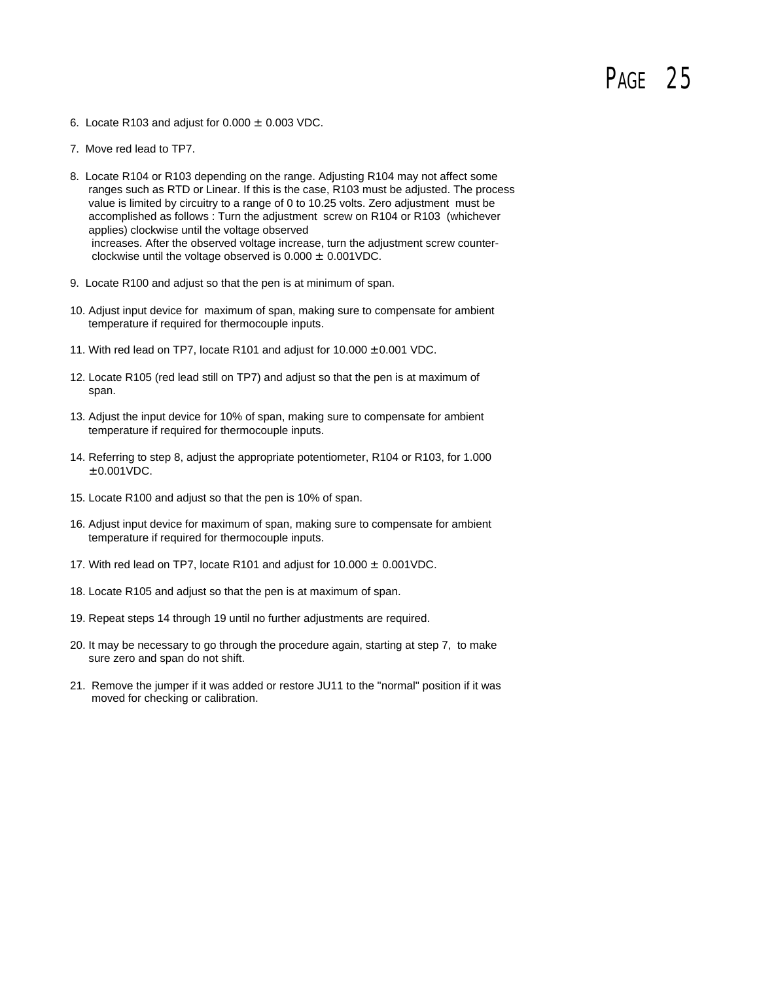- 6. Locate R103 and adjust for  $0.000 \pm 0.003$  VDC.
- 7. Move red lead to TP7.
- 8. Locate R104 or R103 depending on the range. Adjusting R104 may not affect some ranges such as RTD or Linear. If this is the case, R103 must be adjusted. The process value is limited by circuitry to a range of 0 to 10.25 volts. Zero adjustment must be accomplished as follows : Turn the adjustment screw on R104 or R103 (whichever applies) clockwise until the voltage observed increases. After the observed voltage increase, turn the adjustment screw counter clockwise until the voltage observed is  $0.000 \pm 0.001$ VDC.
- 9. Locate R100 and adjust so that the pen is at minimum of span.
- 10. Adjust input device for maximum of span, making sure to compensate for ambient temperature if required for thermocouple inputs.
- 11. With red lead on TP7, locate R101 and adjust for  $10.000 \pm 0.001$  VDC.
- 12. Locate R105 (red lead still on TP7) and adjust so that the pen is at maximum of span.
- 13. Adjust the input device for 10% of span, making sure to compensate for ambient temperature if required for thermocouple inputs.
- 14. Referring to step 8, adjust the appropriate potentiometer, R104 or R103, for 1.000 ± 0.001VDC.
- 15. Locate R100 and adjust so that the pen is 10% of span.
- 16. Adjust input device for maximum of span, making sure to compensate for ambient temperature if required for thermocouple inputs.
- 17. With red lead on TP7, locate R101 and adjust for 10.000 ± 0.001VDC.
- 18. Locate R105 and adjust so that the pen is at maximum of span.
- 19. Repeat steps 14 through 19 until no further adjustments are required.
- 20. It may be necessary to go through the procedure again, starting at step 7, to make sure zero and span do not shift.
- 21. Remove the jumper if it was added or restore JU11 to the "normal" position if it was moved for checking or calibration.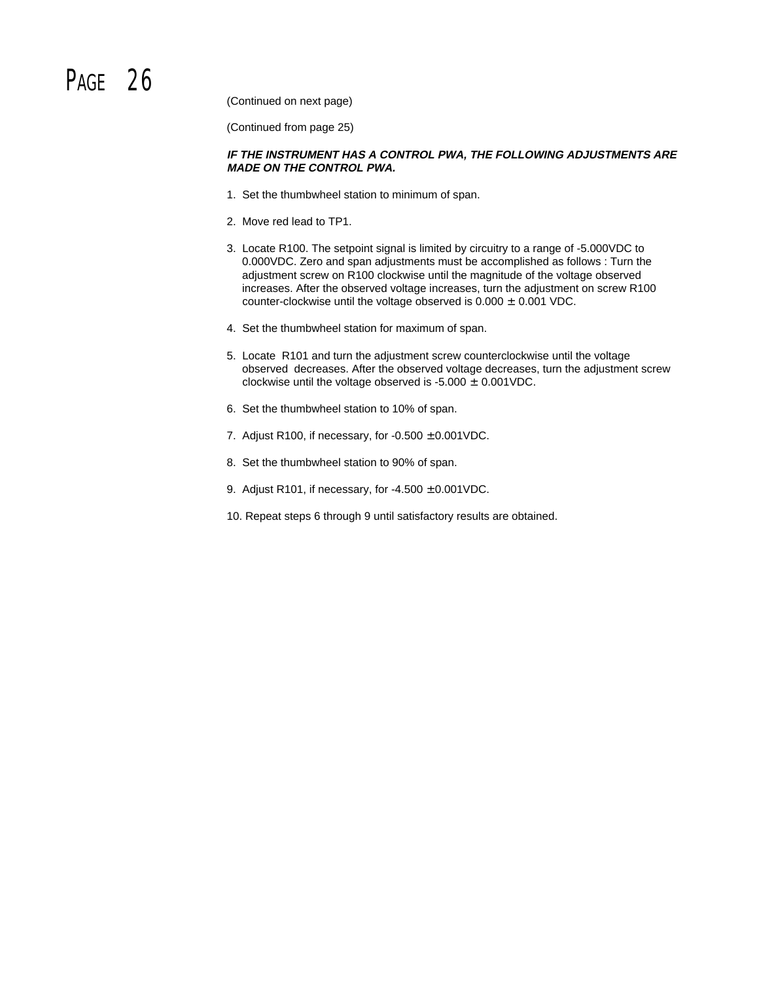# PAGF<sub>26</sub>

(Continued on next page)

(Continued from page 25)

### **IF THE INSTRUMENT HAS A CONTROL PWA, THE FOLLOWING ADJUSTMENTS ARE MADE ON THE CONTROL PWA.**

- 1. Set the thumbwheel station to minimum of span.
- 2. Move red lead to TP1.
- 3. Locate R100. The setpoint signal is limited by circuitry to a range of -5.000VDC to 0.000VDC. Zero and span adjustments must be accomplished as follows : Turn the adjustment screw on R100 clockwise until the magnitude of the voltage observed increases. After the observed voltage increases, turn the adjustment on screw R100 counter-clockwise until the voltage observed is  $0.000 \pm 0.001$  VDC.
- 4. Set the thumbwheel station for maximum of span.
- 5. Locate R101 and turn the adjustment screw counterclockwise until the voltage observed decreases. After the observed voltage decreases, turn the adjustment screw clockwise until the voltage observed is  $-5.000 \pm 0.001$ VDC.
- 6. Set the thumbwheel station to 10% of span.
- 7. Adjust R100, if necessary, for  $-0.500 \pm 0.001$ VDC.
- 8. Set the thumbwheel station to 90% of span.
- 9. Adjust R101, if necessary, for  $-4.500 \pm 0.001$ VDC.
- 10. Repeat steps 6 through 9 until satisfactory results are obtained.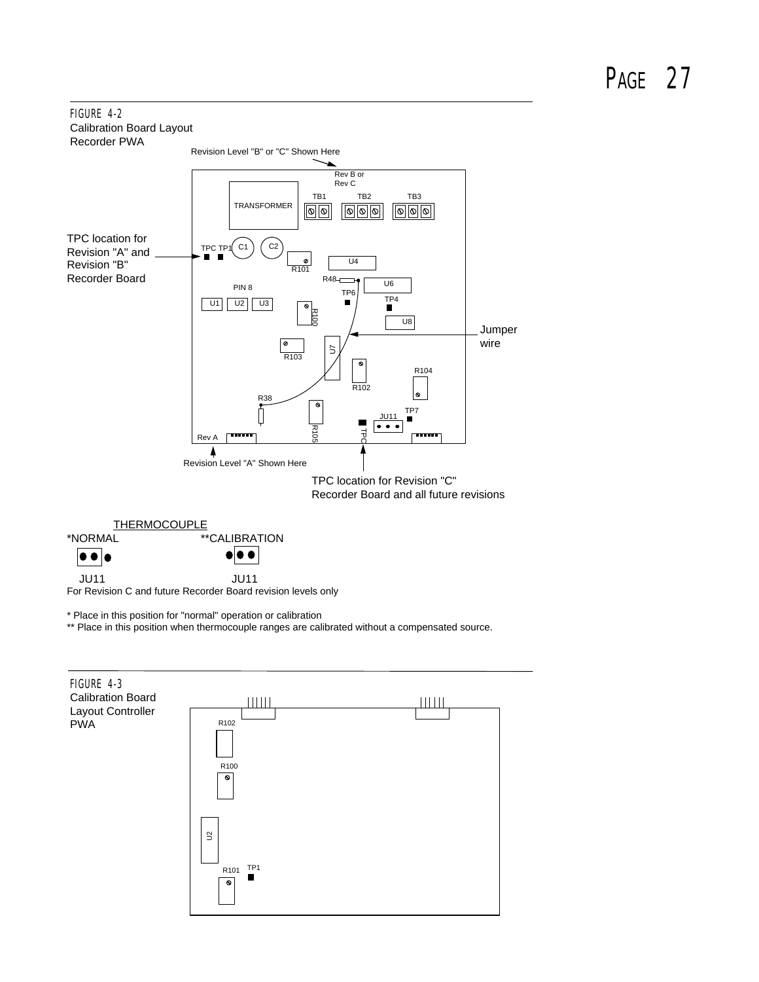### FIGURE 4-2 Calibration Board Layout Recorder PWA



 JU11 JU11 For Revision C and future Recorder Board revision levels only

\* Place in this position for "normal" operation or calibration

\*\* Place in this position when thermocouple ranges are calibrated without a compensated source.

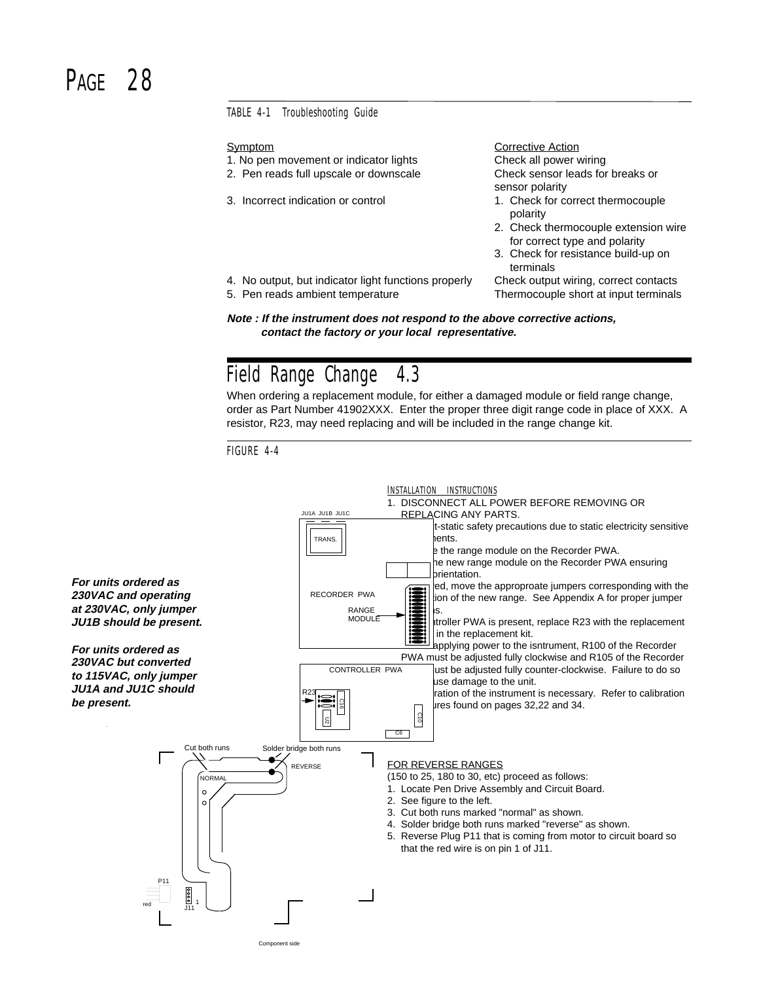## PAGF<sub>28</sub>

#### TABLE 4-1 Troubleshooting Guide

- 1. No pen movement or indicator lights Check all power wiring
- 2. Pen reads full upscale or downscale Check sensor leads for breaks or
- 

Symptom Corrective Action sensor polarity

- 3. Incorrect indication or control 1. Check for correct thermocouple polarity
	- 2. Check thermocouple extension wire for correct type and polarity
	- 3. Check for resistance build-up on terminals

5. Pen reads ambient temperature Thermocouple short at input terminals

4. No output, but indicator light functions properly Check output wiring, correct contacts

**Note : If the instrument does not respond to the above corrective actions, contact the factory or your local representative.**

### Field Range Change 4.3

When ordering a replacement module, for either a damaged module or field range change, order as Part Number 41902XXX. Enter the proper three digit range code in place of XXX. A resistor, R23, may need replacing and will be included in the range change kit.

FIGURE 4-4

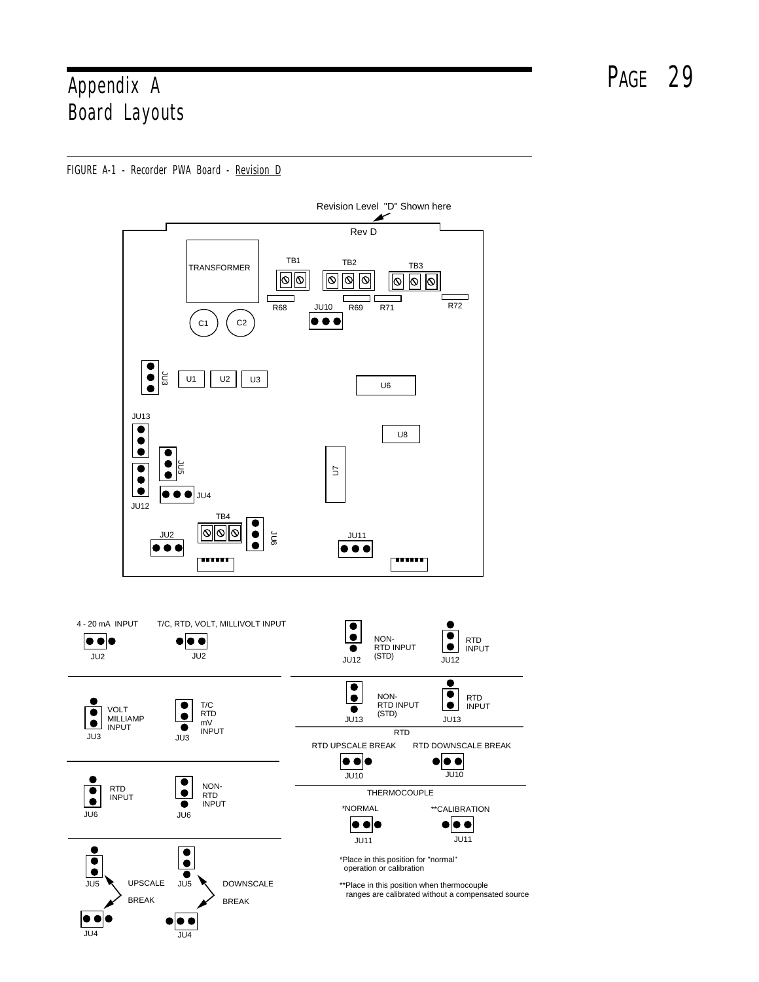# Appendix A PAGE 29 Board Layouts

FIGURE A-1 - Recorder PWA Board - Revision D

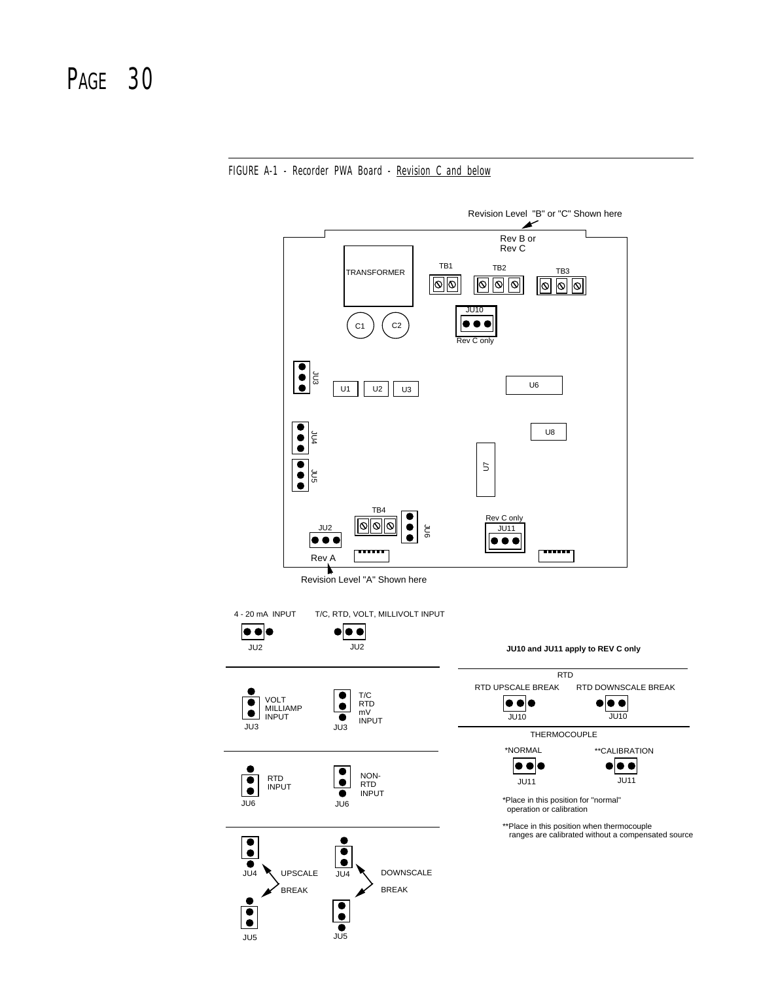FIGURE A-1 - Recorder PWA Board - Revision C and below

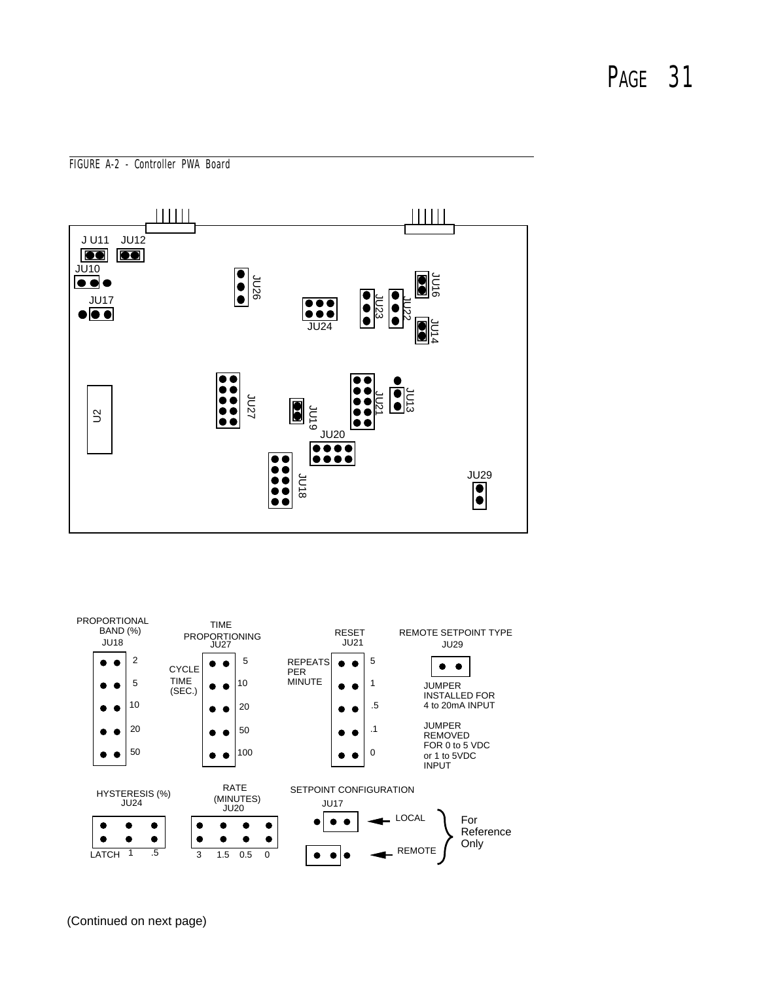FIGURE A-2 - Controller PWA Board





(Continued on next page)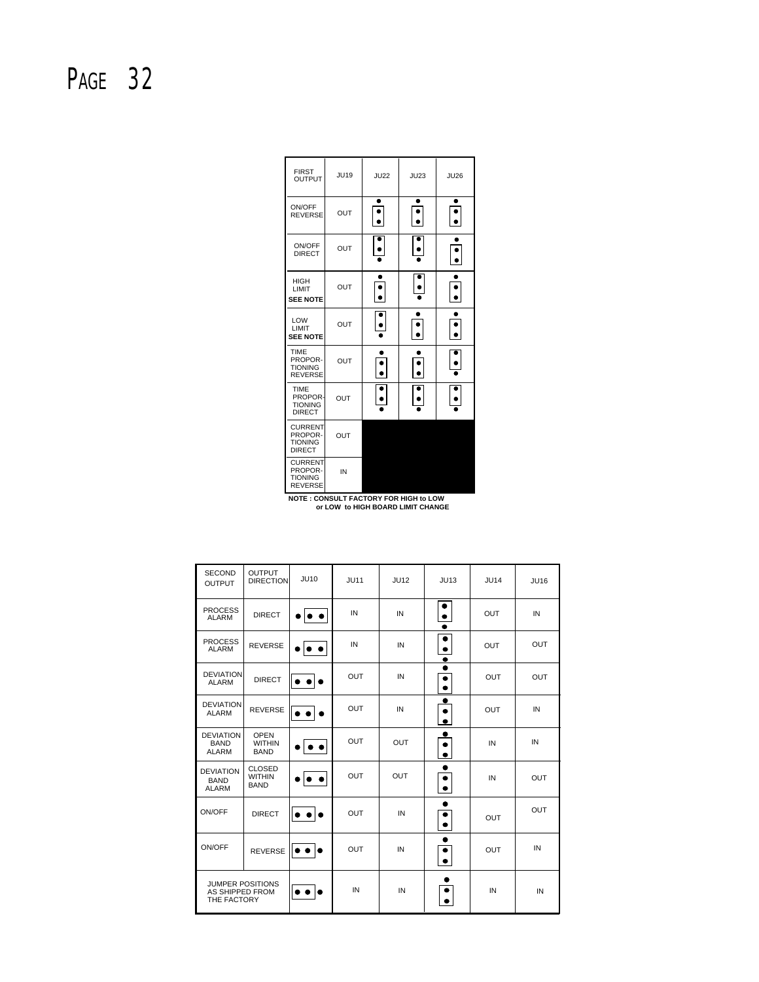| <b>FIRST</b><br><b>OUTPUT</b>                                 | <b>JU19</b> | <b>JU22</b>      | <b>JU23</b>      | <b>JU26</b>      |
|---------------------------------------------------------------|-------------|------------------|------------------|------------------|
| ON/OFF<br><b>REVERSE</b>                                      | OUT         | ٠                | $\ddot{\bullet}$ | $\ddot{\bullet}$ |
| ON/OFF<br><b>DIRECT</b>                                       | <b>OUT</b>  |                  |                  |                  |
| <b>HIGH</b><br>LIMIT<br><b>SEE NOTE</b>                       | OUT         |                  |                  |                  |
| LOW<br>LIMIT<br><b>SEE NOTE</b>                               | OUT         | $\ddot{\bullet}$ |                  | $\ddot{\bullet}$ |
| <b>TIME</b><br>PROPOR-<br><b>TIONING</b><br><b>REVERSE</b>    | OUT         |                  |                  |                  |
| <b>TIME</b><br>PROPOR-<br><b>TIONING</b><br><b>DIRECT</b>     | OUT         |                  |                  |                  |
| <b>CURRENT</b><br>PROPOR-<br><b>TIONING</b><br><b>DIRECT</b>  | OUT         |                  |                  |                  |
| <b>CURRENT</b><br>PROPOR-<br><b>TIONING</b><br><b>REVERSE</b> | IN          |                  |                  |                  |

| <b>NOTE : CONSULT FACTORY FOR HIGH to LOW</b> |  |
|-----------------------------------------------|--|
| or LOW to HIGH BOARD LIMIT CHANGE             |  |

| <b>SECOND</b><br><b>OUTPUT</b>                  | <b>OUTPUT</b><br><b>DIRECTION</b>             | <b>JU10</b>      | <b>JU11</b> | <b>JU12</b> | JU13      | <b>JU14</b> | JU16       |
|-------------------------------------------------|-----------------------------------------------|------------------|-------------|-------------|-----------|-------------|------------|
| <b>PROCESS</b><br><b>ALARM</b>                  | <b>DIRECT</b>                                 |                  | IN          | IN          | $\bullet$ | <b>OUT</b>  | IN         |
| <b>PROCESS</b><br><b>ALARM</b>                  | <b>REVERSE</b>                                |                  | IN          | IN          |           | <b>OUT</b>  | <b>OUT</b> |
| <b>DEVIATION</b><br><b>ALARM</b>                | <b>DIRECT</b>                                 |                  | <b>OUT</b>  | IN          |           | <b>OUT</b>  | <b>OUT</b> |
| <b>DEVIATION</b><br><b>ALARM</b>                | <b>REVERSE</b>                                |                  | <b>OUT</b>  | IN          | ۰         | <b>OUT</b>  | IN         |
| <b>DEVIATION</b><br><b>BAND</b><br><b>ALARM</b> | <b>OPEN</b><br><b>WITHIN</b><br><b>BAND</b>   |                  | <b>OUT</b>  | <b>OUT</b>  | $\bullet$ | IN          | IN         |
| <b>DEVIATION</b><br><b>BAND</b><br><b>ALARM</b> | <b>CLOSED</b><br><b>WITHIN</b><br><b>BAND</b> |                  | <b>OUT</b>  | OUT         |           | IN          | <b>OUT</b> |
| ON/OFF                                          | <b>DIRECT</b>                                 | . .              | <b>OUT</b>  | IN          |           | OUT         | OUT        |
| ON/OFF                                          | <b>REVERSE</b>                                | $\bullet\bullet$ | <b>OUT</b>  | IN          |           | <b>OUT</b>  | IN         |
| AS SHIPPED FROM<br>THE FACTORY                  | <b>JUMPER POSITIONS</b>                       |                  | IN          | IN          |           | IN          | IN         |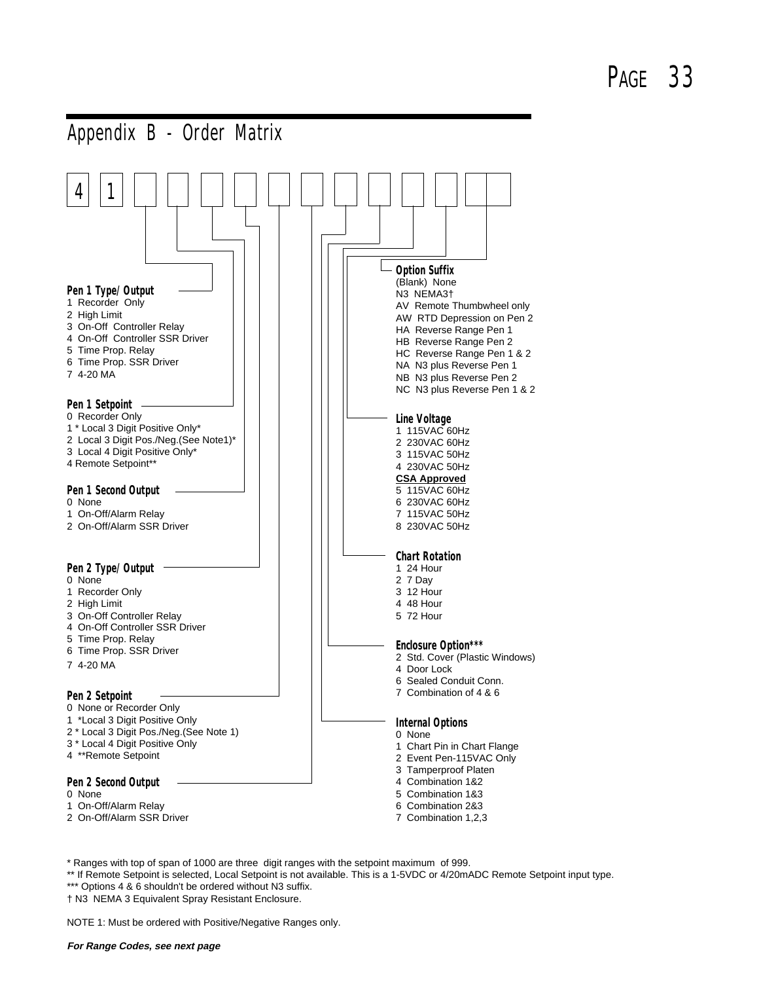

\* Ranges with top of span of 1000 are three digit ranges with the setpoint maximum of 999.

\*\* If Remote Setpoint is selected, Local Setpoint is not available. This is a 1-5VDC or 4/20mADC Remote Setpoint input type. \*\*\* Options 4 & 6 shouldn't be ordered without N3 suffix.

† N3 NEMA 3 Equivalent Spray Resistant Enclosure.

NOTE 1: Must be ordered with Positive/Negative Ranges only.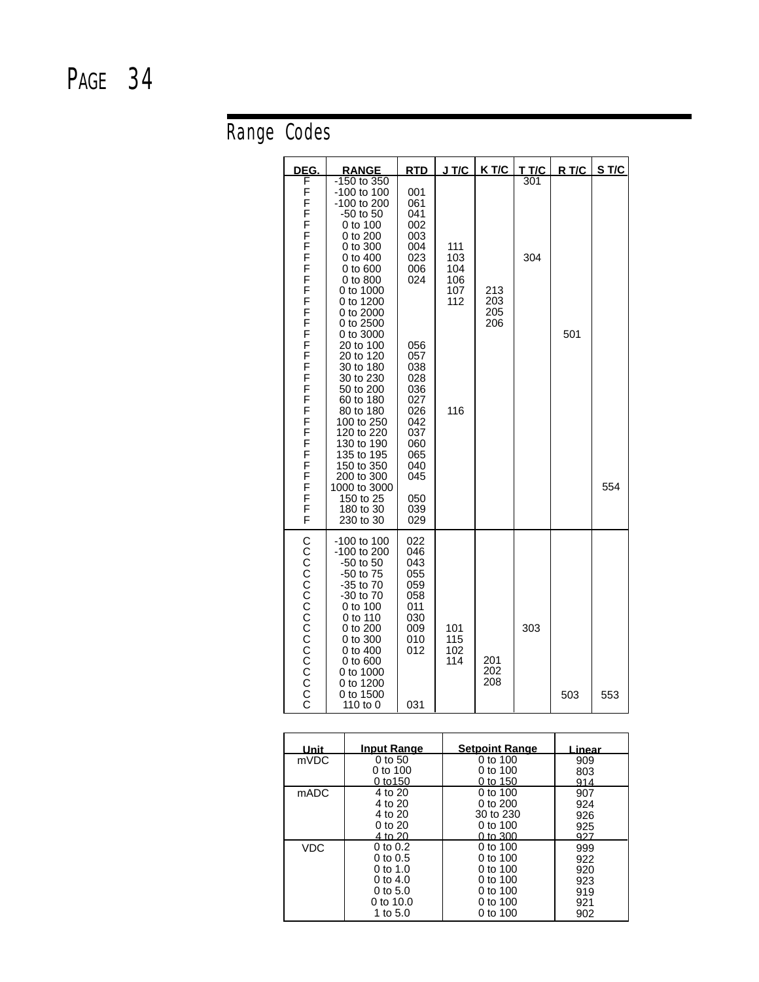# Range Codes

| <u>DEG.</u>                              | <b>RANGE</b>                                                                                                                                                                                                                                                                                                                                                                                                                              | <b>RTD</b>                                                                                                                                                                  | J T/C                                         | K T/C                    | <u>T T/C</u> | R T/C | S T/C |
|------------------------------------------|-------------------------------------------------------------------------------------------------------------------------------------------------------------------------------------------------------------------------------------------------------------------------------------------------------------------------------------------------------------------------------------------------------------------------------------------|-----------------------------------------------------------------------------------------------------------------------------------------------------------------------------|-----------------------------------------------|--------------------------|--------------|-------|-------|
| F<br>FFFFFFFFFFFFFFFFFFFFFFFFFFFFFFFFFFF | -150 to 350<br>-100 to 100<br>-100 to 200<br>-50 to 50<br>0 to 100<br>0 to 200<br>0 to 300<br>$0$ to $400$<br>0 to 600<br>0 to 800<br>0 to 1000<br>0 to 1200<br>0 to 2000<br>0 to 2500<br>0 to 3000<br>20 to 100<br>20 to 120<br>30 to 180<br>30 to 230<br>50 to 200<br>60 to 180<br>80 to 180<br>100 to 250<br>120 to 220<br>130 to 190<br>135 to 195<br>150 to 350<br>200 to 300<br>1000 to 3000<br>150 to 25<br>180 to 30<br>230 to 30 | 001<br>061<br>041<br>002<br>003<br>004<br>023<br>006<br>024<br>056<br>057<br>038<br>028<br>036<br>027<br>026<br>042<br>037<br>060<br>065<br>040<br>045<br>050<br>039<br>029 | 111<br>103<br>104<br>106<br>107<br>112<br>116 | 213<br>203<br>205<br>206 | 301<br>304   | 501   | 554   |
| CCCCCCCCCCCCCCC                          | -100 to 100<br>-100 to 200<br>-50 to 50<br>-50 to 75<br>-35 to 70<br>-30 to 70<br>0 to 100<br>0 to 110<br>0 to 200<br>0 to 300<br>0 to 400<br>0 to 600<br>0 to 1000<br>0 to 1200<br>0 to 1500<br>110 to 0                                                                                                                                                                                                                                 | 022<br>046<br>043<br>055<br>059<br>058<br>011<br>030<br>009<br>010<br>012<br>031                                                                                            | 101<br>115<br>102<br>114                      | 201<br>202<br>208        | 303          | 503   | 553   |

| Unit | <b>Input Range</b> | <b>Setpoint Range</b> | Linear |
|------|--------------------|-----------------------|--------|
| mVDC | 0 to 50            | 0 to $100$            | 909    |
|      | 0 to $100$         | 0 to $100$            | 803    |
|      | 0 to 150           | 0 to 150              | 914    |
| mADC | 4 to 20            | $0$ to $100$          | 907    |
|      | 4 to 20            | $0$ to $200$          | 924    |
|      | 4 to 20            | 30 to 230             | 926    |
|      | 0 to 20            | 0 to 100              | 925    |
|      | 4 to 20            | 0 to $300$            | 927    |
| VDC. | $0$ to $0.2$       | 0 to $100$            | 999    |
|      | $0$ to $0.5$       | 0 to 100              | 922    |
|      | 0 to 1.0           | 0 to $100$            | 920    |
|      | 0 to 4.0           | 0 to $100$            | 923    |
|      | $0$ to 5.0         | 0 to $100$            | 919    |
|      | 0 to $10.0$        | 0 to $100$            | 921    |
|      | 1 to 5.0           | 0 to $100$            | 902    |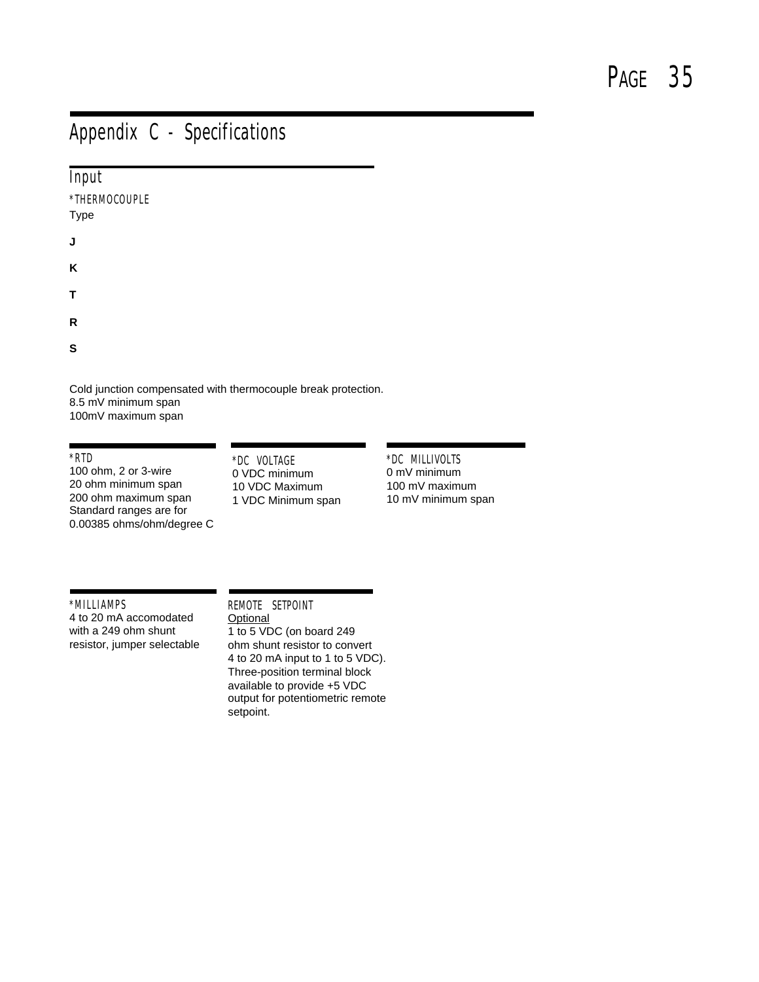### Appendix C - Specifications

| Input                 |  |
|-----------------------|--|
| *THERMOCOUPLE<br>Type |  |
| J                     |  |
| Κ                     |  |
| т                     |  |
| R                     |  |
| S                     |  |

Cold junction compensated with thermocouple break protection. 8.5 mV minimum span 100mV maximum span

#### \*RTD

100 ohm, 2 or 3-wire 20 ohm minimum span 200 ohm maximum span Standard ranges are for 0.00385 ohms/ohm/degree C

#### \*DC VOLTAGE 0 VDC minimum 10 VDC Maximum 1 VDC Minimum span

\*DC MILLIVOLTS 0 mV minimum 100 mV maximum 10 mV minimum span

\*MILLIAMPS 4 to 20 mA accomodated with a 249 ohm shunt resistor, jumper selectable

### REMOTE SETPOINT **Optional**

1 to 5 VDC (on board 249 ohm shunt resistor to convert 4 to 20 mA input to 1 to 5 VDC). Three-position terminal block available to provide +5 VDC output for potentiometric remote setpoint.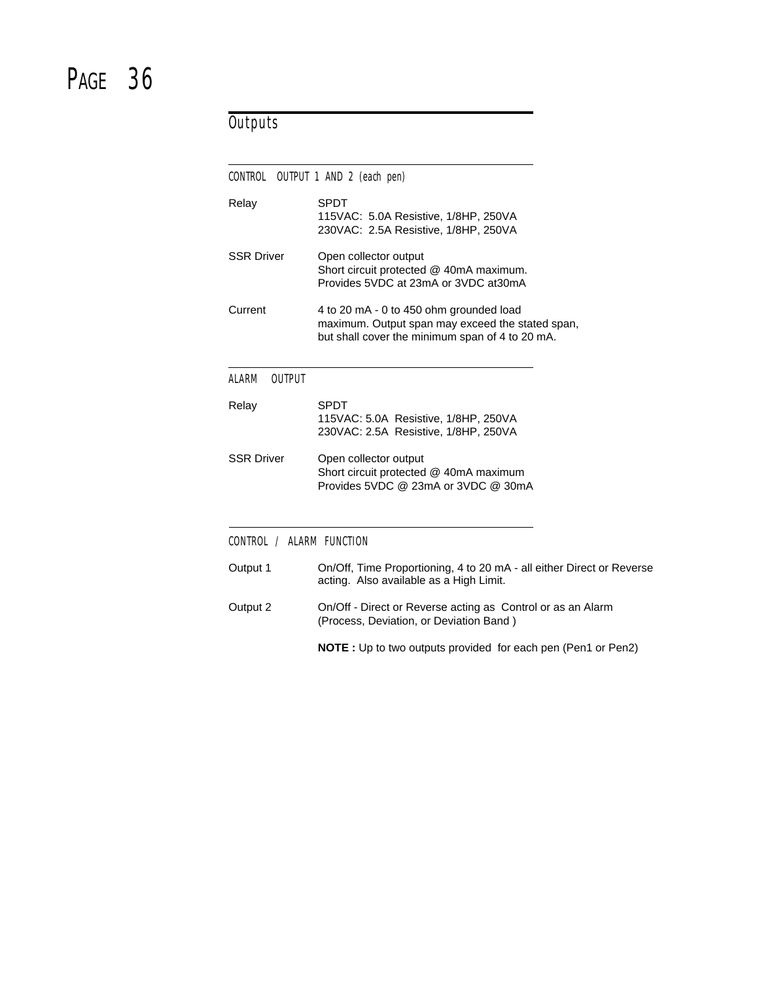### **Outputs**

| CONTROL<br>OUTPUT 1 AND 2 (each pen) |                                                                                                                                                |  |
|--------------------------------------|------------------------------------------------------------------------------------------------------------------------------------------------|--|
| Relay                                | <b>SPDT</b><br>115VAC: 5.0A Resistive, 1/8HP, 250VA<br>230VAC: 2.5A Resistive, 1/8HP, 250VA                                                    |  |
| <b>SSR Driver</b>                    | Open collector output<br>Short circuit protected @ 40mA maximum.<br>Provides 5VDC at 23mA or 3VDC at30mA                                       |  |
| Current                              | 4 to 20 mA - 0 to 450 ohm grounded load<br>maximum. Output span may exceed the stated span,<br>but shall cover the minimum span of 4 to 20 mA. |  |
| ALARM<br><b>OUTPUT</b>               |                                                                                                                                                |  |
| Relay                                | <b>SPDT</b><br>115VAC: 5.0A Resistive, 1/8HP, 250VA<br>230VAC: 2.5A Resistive, 1/8HP, 250VA                                                    |  |
| <b>SSR Driver</b>                    | Open collector output<br>Short circuit protected @ 40mA maximum<br>Provides 5VDC @ 23mA or 3VDC @ 30mA                                         |  |
| CONTROL / ALARM FUNCTION             |                                                                                                                                                |  |
| Output 1                             | On/Off, Time Proportioning, 4 to 20 mA - all either Direct or Reverse<br>acting. Also available as a High Limit.                               |  |
| Output 2                             | On/Off - Direct or Reverse acting as Control or as an Alarm<br>(Process, Deviation, or Deviation Band)                                         |  |
|                                      | <b>NOTE</b> : Up to two outputs provided for each pen (Pen1 or Pen2)                                                                           |  |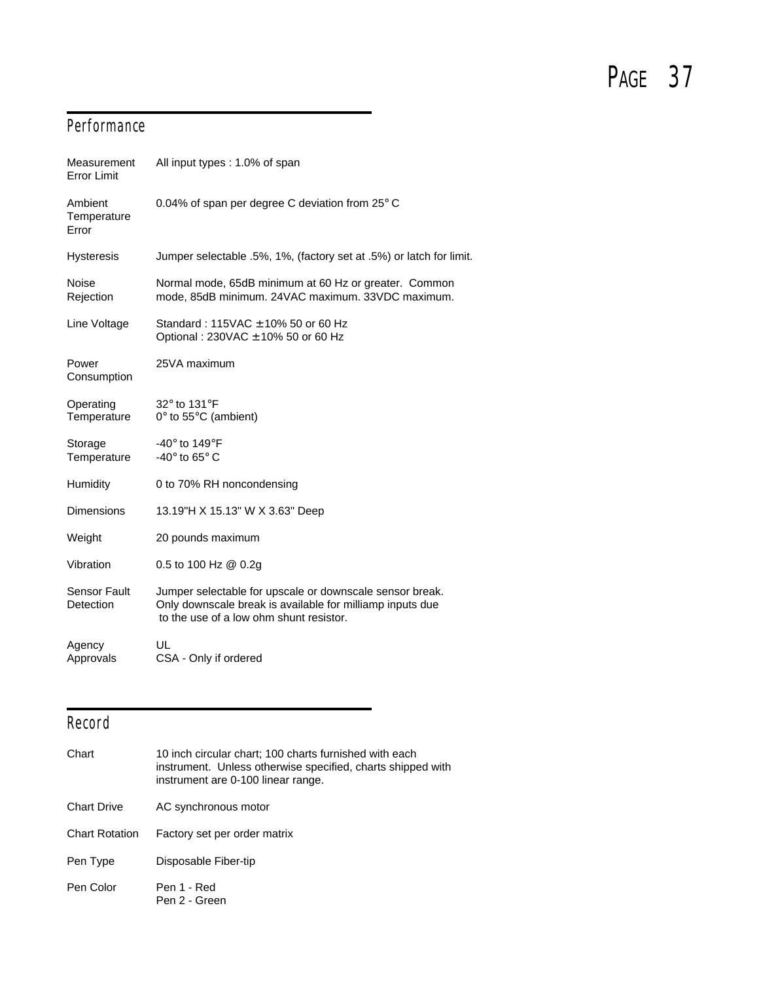### **Performance**

| Measurement<br><b>Error Limit</b>       | All input types: 1.0% of span                                                                                                                                    |
|-----------------------------------------|------------------------------------------------------------------------------------------------------------------------------------------------------------------|
| Ambient<br>Temperature<br>Error         | 0.04% of span per degree C deviation from $25^{\circ}$ C                                                                                                         |
| <b>Hysteresis</b>                       | Jumper selectable .5%, 1%, (factory set at .5%) or latch for limit.                                                                                              |
| <b>Noise</b><br>Rejection               | Normal mode, 65dB minimum at 60 Hz or greater. Common<br>mode, 85dB minimum. 24VAC maximum. 33VDC maximum.                                                       |
| Line Voltage                            | Standard: $115\text{VAC} \pm 10\%$ 50 or 60 Hz<br>Optional: 230VAC ± 10% 50 or 60 Hz                                                                             |
| Power<br>Consumption                    | 25VA maximum                                                                                                                                                     |
| Operating<br>Temperature                | 32° to 131°F<br>0° to 55°C (ambient)                                                                                                                             |
| Storage<br>Temperature                  | -40 $^{\circ}$ to 149 $^{\circ}$ F<br>-40 $\degree$ to 65 $\degree$ C                                                                                            |
| Humidity                                | 0 to 70% RH noncondensing                                                                                                                                        |
| <b>Dimensions</b>                       | 13.19"H X 15.13" W X 3.63" Deep                                                                                                                                  |
| Weight                                  | 20 pounds maximum                                                                                                                                                |
| Vibration                               | 0.5 to 100 Hz @ 0.2g                                                                                                                                             |
| <b>Sensor Fault</b><br><b>Detection</b> | Jumper selectable for upscale or downscale sensor break.<br>Only downscale break is available for milliamp inputs due<br>to the use of a low ohm shunt resistor. |
| Agency<br>Approvals                     | UL<br>CSA - Only if ordered                                                                                                                                      |
|                                         |                                                                                                                                                                  |

### Record

| Chart                 | 10 inch circular chart; 100 charts furnished with each<br>instrument. Unless otherwise specified, charts shipped with<br>instrument are 0-100 linear range. |
|-----------------------|-------------------------------------------------------------------------------------------------------------------------------------------------------------|
| <b>Chart Drive</b>    | AC synchronous motor                                                                                                                                        |
| <b>Chart Rotation</b> | Factory set per order matrix                                                                                                                                |
| Pen Type              | Disposable Fiber-tip                                                                                                                                        |
| Pen Color             | Pen 1 - Red<br>Pen 2 - Green                                                                                                                                |